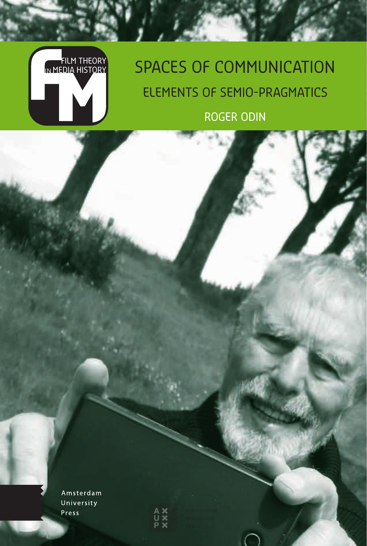

# SPACES OF COMMUNICATION ELEMENTS OF SEMIO-PRAGMATICS ROGER ODIN

Amsterdam University Press

A<br>U<br>X<br>X<br>X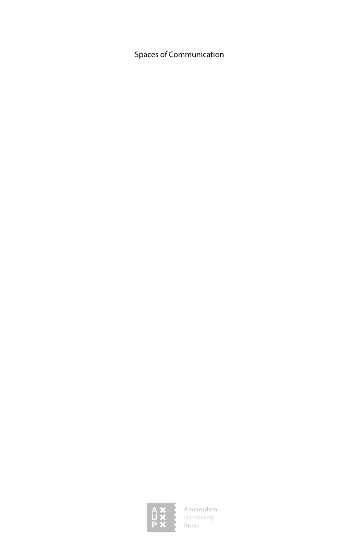Spaces of Communication

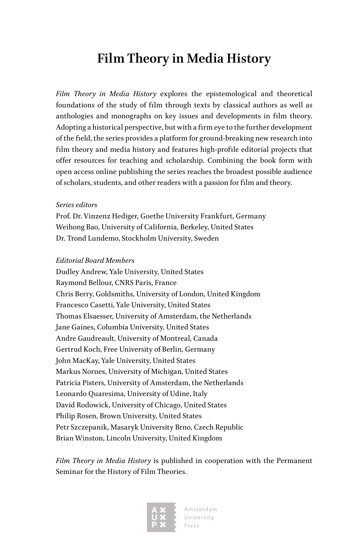## **Film Theory in Media History**

*Film Theory in Media History* explores the epistemological and theoretical foundations of the study of film through texts by classical authors as well as anthologies and monographs on key issues and developments in film theory. Adopting a historical perspective, but with a firm eye to the further development of the field, the series provides a platform for ground-breaking new research into film theory and media history and features high-profile editorial projects that offer resources for teaching and scholarship. Combining the book form with open access online publishing the series reaches the broadest possible audience of scholars, students, and other readers with a passion for film and theory.

#### *Series editors*

Prof. Dr. Vinzenz Hediger, Goethe University Frankfurt, Germany Weihong Bao, University of California, Berkeley, United States Dr. Trond Lundemo, Stockholm University, Sweden

#### *Editorial Board Members*

Dudley Andrew, Yale University, United States Raymond Bellour, CNRS Paris, France Chris Berry, Goldsmiths, University of London, United Kingdom Francesco Casetti, Yale University, United States Thomas Elsaesser, University of Amsterdam, the Netherlands Jane Gaines, Columbia University, United States Andre Gaudreault, University of Montreal, Canada Gertrud Koch, Free University of Berlin, Germany John MacKay, Yale University, United States Markus Nornes, University of Michigan, United States Patricia Pisters, University of Amsterdam, the Netherlands Leonardo Quaresima, University of Udine, Italy David Rodowick, University of Chicago, United States Philip Rosen, Brown University, United States Petr Szczepanik, Masaryk University Brno, Czech Republic Brian Winston, Lincoln University, United Kingdom

*Film Theory in Media History* is published in cooperation with the Permanent Seminar for the History of Film Theories.



Amsterdam University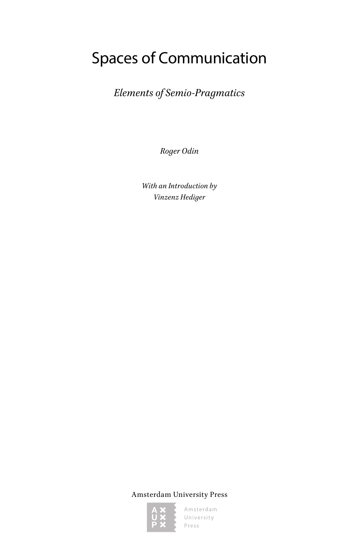# Spaces of Communication

*Elements of Semio-Pragmatics*

*Roger Odin*

*With an Introduction by Vinzenz Hediger*

Amsterdam University Press

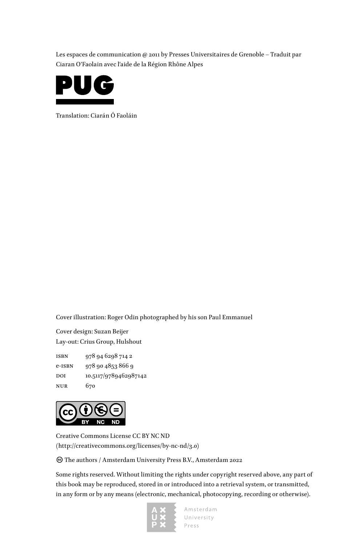Les espaces de communication @ 2011 by Presses Universitaires de Grenoble – Traduit par Ciaran O'Faolain avec l'aide de la Région Rhône Alpes



Translation: Ciarán Ó Faoláin

Cover illustration: Roger Odin photographed by his son Paul Emmanuel

Cover design: Suzan Beijer Lay-out: Crius Group, Hulshout

isbn 978 94 6298 714 2 e-isbn 978 90 4853 866 9 DOI 10.5117/9789462987142 nur 670



Creative Commons License CC BY NC ND (<http://creativecommons.org/licenses/by-nc-nd/3.0>)

The authors / Amsterdam University Press B.V., Amsterdam 2022

Some rights reserved. Without limiting the rights under copyright reserved above, any part of this book may be reproduced, stored in or introduced into a retrieval system, or transmitted, in any form or by any means (electronic, mechanical, photocopying, recording or otherwise).

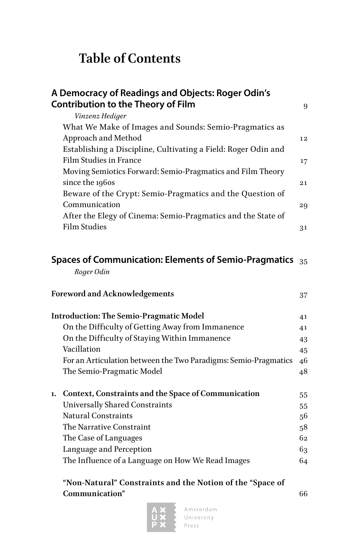# **Table of Contents**

| A Democracy of Readings and Objects: Roger Odin's |                                                                               |                 |  |  |
|---------------------------------------------------|-------------------------------------------------------------------------------|-----------------|--|--|
|                                                   | <b>Contribution to the Theory of Film</b>                                     | 9               |  |  |
|                                                   | Vinzenz Hediger                                                               |                 |  |  |
|                                                   | What We Make of Images and Sounds: Semio-Pragmatics as                        |                 |  |  |
|                                                   | Approach and Method                                                           | 12              |  |  |
|                                                   | Establishing a Discipline, Cultivating a Field: Roger Odin and                |                 |  |  |
|                                                   | <b>Film Studies in France</b>                                                 | 17              |  |  |
|                                                   | Moving Semiotics Forward: Semio-Pragmatics and Film Theory<br>since the 1960s | $\overline{21}$ |  |  |
|                                                   | Beware of the Crypt: Semio-Pragmatics and the Question of                     |                 |  |  |
|                                                   | Communication                                                                 | 29              |  |  |
|                                                   | After the Elegy of Cinema: Semio-Pragmatics and the State of                  |                 |  |  |
|                                                   | <b>Film Studies</b>                                                           | 31              |  |  |
|                                                   |                                                                               |                 |  |  |
|                                                   | <b>Spaces of Communication: Elements of Semio-Pragmatics</b><br>Roger Odin    | 35              |  |  |
| <b>Foreword and Acknowledgements</b><br>37        |                                                                               |                 |  |  |
|                                                   | <b>Introduction: The Semio-Pragmatic Model</b>                                | 41              |  |  |
|                                                   | On the Difficulty of Getting Away from Immanence                              | 41              |  |  |
|                                                   | On the Difficulty of Staying Within Immanence                                 | 43              |  |  |
|                                                   | Vacillation                                                                   | 45              |  |  |
|                                                   | For an Articulation between the Two Paradigms: Semio-Pragmatics               | 46              |  |  |
|                                                   | The Semio-Pragmatic Model                                                     | 48              |  |  |
| ı.                                                | Context, Constraints and the Space of Communication                           | 55              |  |  |
|                                                   | <b>Universally Shared Constraints</b>                                         | 55              |  |  |
|                                                   | <b>Natural Constraints</b>                                                    | 56              |  |  |
|                                                   | The Narrative Constraint                                                      | 58              |  |  |
|                                                   | The Case of Languages                                                         | 62              |  |  |
|                                                   | Language and Perception                                                       | 63              |  |  |
|                                                   | The Influence of a Language on How We Read Images                             | 64              |  |  |
|                                                   | "Non-Natural" Constraints and the Notion of the "Space of                     |                 |  |  |

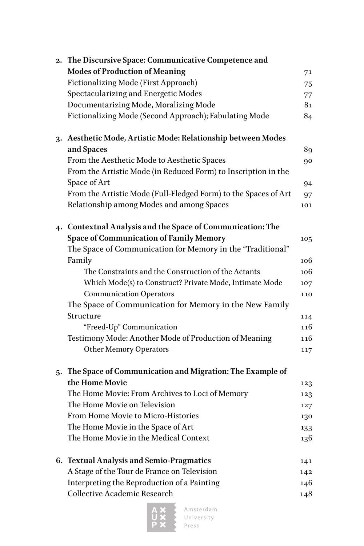| 2. The Discursive Space: Communicative Competence and           |     |
|-----------------------------------------------------------------|-----|
| <b>Modes of Production of Meaning</b>                           | 71  |
| Fictionalizing Mode (First Approach)                            | 75  |
| Spectacularizing and Energetic Modes                            | 77  |
| Documentarizing Mode, Moralizing Mode                           | 81  |
| Fictionalizing Mode (Second Approach); Fabulating Mode          | 84  |
| 3. Aesthetic Mode, Artistic Mode: Relationship between Modes    |     |
| and Spaces                                                      | 89  |
| From the Aesthetic Mode to Aesthetic Spaces                     | 90  |
| From the Artistic Mode (in Reduced Form) to Inscription in the  |     |
| Space of Art                                                    | 94  |
| From the Artistic Mode (Full-Fledged Form) to the Spaces of Art | 97  |
| Relationship among Modes and among Spaces                       | 101 |
| 4. Contextual Analysis and the Space of Communication: The      |     |
| <b>Space of Communication of Family Memory</b>                  | 105 |
| The Space of Communication for Memory in the "Traditional"      |     |
| Family                                                          | 106 |
| The Constraints and the Construction of the Actants             | 106 |
| Which Mode(s) to Construct? Private Mode, Intimate Mode         | 107 |
| <b>Communication Operators</b>                                  | 110 |
| The Space of Communication for Memory in the New Family         |     |
| Structure                                                       | 114 |
| "Freed-Up" Communication                                        | 116 |
| Testimony Mode: Another Mode of Production of Meaning           | 116 |
| <b>Other Memory Operators</b>                                   | 117 |
| 5. The Space of Communication and Migration: The Example of     |     |
| the Home Movie                                                  | 123 |
| The Home Movie: From Archives to Loci of Memory                 | 123 |
| The Home Movie on Television                                    | 127 |
| From Home Movie to Micro-Histories                              | 130 |
| The Home Movie in the Space of Art                              | 133 |
| The Home Movie in the Medical Context                           | 136 |
| 6. Textual Analysis and Semio-Pragmatics                        | 141 |
| A Stage of the Tour de France on Television                     | 142 |
| Interpreting the Reproduction of a Painting                     | 146 |
| Collective Academic Research                                    | 148 |
|                                                                 |     |

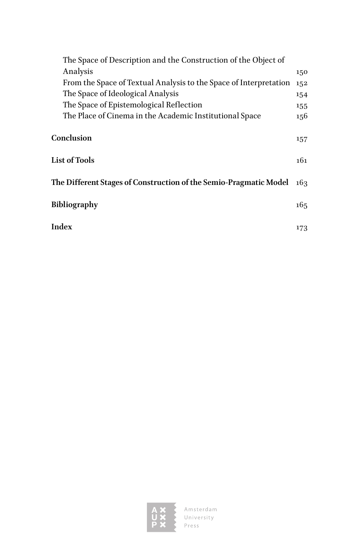| The Space of Description and the Construction of the Object of    |     |  |
|-------------------------------------------------------------------|-----|--|
| Analysis                                                          | 150 |  |
| From the Space of Textual Analysis to the Space of Interpretation | 152 |  |
| The Space of Ideological Analysis                                 | 154 |  |
| The Space of Epistemological Reflection                           | 155 |  |
| The Place of Cinema in the Academic Institutional Space           | 156 |  |
|                                                                   |     |  |
| Conclusion                                                        |     |  |
| List of Tools                                                     | 161 |  |
|                                                                   |     |  |
| The Different Stages of Construction of the Semio-Pragmatic Model | 163 |  |
| <b>Bibliography</b>                                               |     |  |
| Index                                                             | 173 |  |

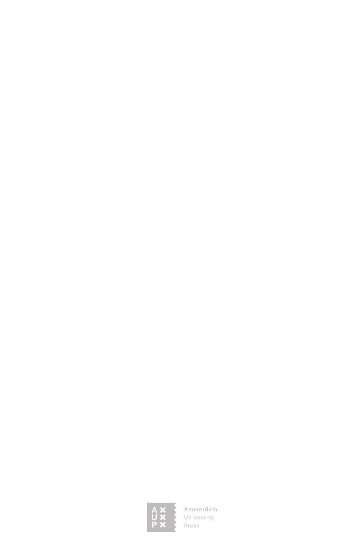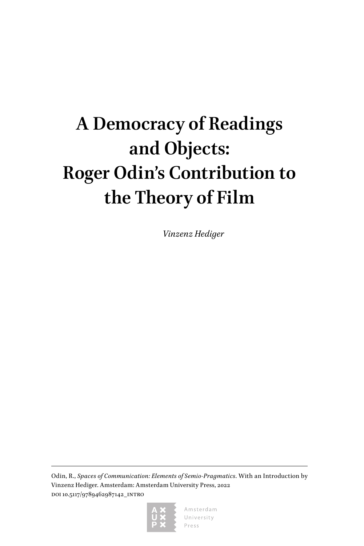# <span id="page-9-0"></span>**A Democracy of Readings and Objects: Roger Odin's Contribution to the Theory of Film**

*Vinzenz Hediger*

Odin, R., *Spaces of Communication: Elements of Semio-Pragmatics*. With an Introduction by Vinzenz Hediger. Amsterdam: Amsterdam University Press, 2022 doi 10.5117/9789462987142\_intro



Amsterdam University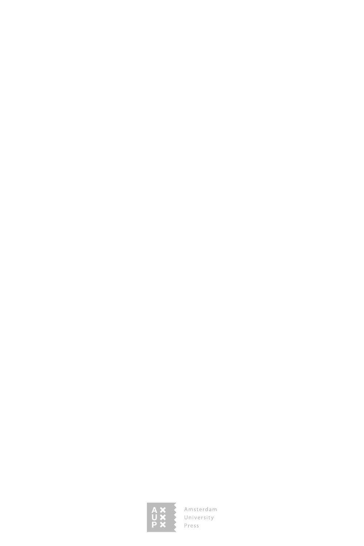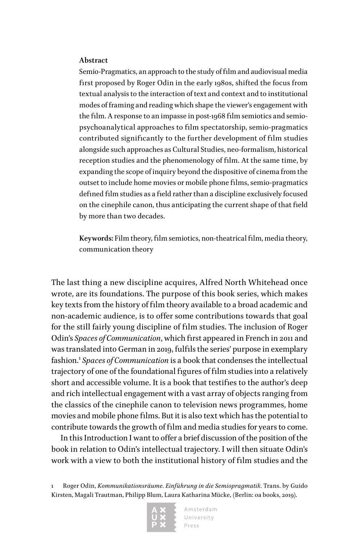#### **Abstract**

Semio-Pragmatics, an approach to the study of film and audiovisual media first proposed by Roger Odin in the early 1980s, shifted the focus from textual analysis to the interaction of text and context and to institutional modes of framing and reading which shape the viewer's engagement with the film. A response to an impasse in post-1968 film semiotics and semiopsychoanalytical approaches to film spectatorship, semio-pragmatics contributed significantly to the further development of film studies alongside such approaches as Cultural Studies, neo-formalism, historical reception studies and the phenomenology of film. At the same time, by expanding the scope of inquiry beyond the dispositive of cinema from the outset to include home movies or mobile phone films, semio-pragmatics defined film studies as a field rather than a discipline exclusively focused on the cinephile canon, thus anticipating the current shape of that field by more than two decades.

**Keywords:** Film theory, film semiotics, non-theatrical film, media theory, communication theory

The last thing a new discipline acquires, Alfred North Whitehead once wrote, are its foundations. The purpose of this book series, which makes key texts from the history of film theory available to a broad academic and non-academic audience, is to offer some contributions towards that goal for the still fairly young discipline of film studies. The inclusion of Roger Odin's *Spaces of Communication*, which first appeared in French in 2011 and was translated into German in 2019, fulfils the series' purpose in exemplary fashion.<sup>1</sup> Spaces of Communication is a book that condenses the intellectual trajectory of one of the foundational figures of film studies into a relatively short and accessible volume. It is a book that testifies to the author's deep and rich intellectual engagement with a vast array of objects ranging from the classics of the cinephile canon to television news programmes, home movies and mobile phone films. But it is also text which has the potential to contribute towards the growth of film and media studies for years to come.

In this Introduction I want to offer a brief discussion of the position of the book in relation to Odin's intellectual trajectory. I will then situate Odin's work with a view to both the institutional history of film studies and the

<sup>1</sup> Roger Odin, *Kommunikationsräume. Einführung in die Semiopragmatik.* Trans. by Guido Kirsten, Magali Trautman, Philipp Blum, Laura Katharina Mücke, (Berlin: oa books, 2019).

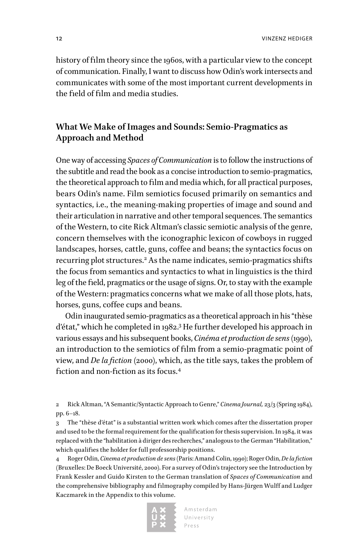<span id="page-12-0"></span>12 Vinzenz Hediger

history of film theory since the 1960s, with a particular view to the concept of communication. Finally, I want to discuss how Odin's work intersects and communicates with some of the most important current developments in the field of film and media studies.

## **What We Make of Images and Sounds: Semio-Pragmatics as Approach and Method**

One way of accessing *Spaces of Communication* is to follow the instructions of the subtitle and read the book as a concise introduction to semio-pragmatics, the theoretical approach to film and media which, for all practical purposes, bears Odin's name. Film semiotics focused primarily on semantics and syntactics, i.e., the meaning-making properties of image and sound and their articulation in narrative and other temporal sequences. The semantics of the Western, to cite Rick Altman's classic semiotic analysis of the genre, concern themselves with the iconographic lexicon of cowboys in rugged landscapes, horses, cattle, guns, coffee and beans; the syntactics focus on recurring plot structures.<sup>2</sup> As the name indicates, semio-pragmatics shifts the focus from semantics and syntactics to what in linguistics is the third leg of the field, pragmatics or the usage of signs. Or, to stay with the example of the Western: pragmatics concerns what we make of all those plots, hats, horses, guns, coffee cups and beans.

Odin inaugurated semio-pragmatics as a theoretical approach in his "thèse d'état," which he completed in 1982.3 He further developed his approach in various essays and his subsequent books, *Cinéma et production de sens* (1990), an introduction to the semiotics of film from a semio-pragmatic point of view, and *De la fiction* (2000), which, as the title says, takes the problem of fiction and non-fiction as its focus.<sup>4</sup>

2 Rick Altman, "A Semantic/Syntactic Approach to Genre," *Cinema Journal,* 23/3 (Spring 1984), pp. 6–18.

3 The "thèse d'état" is a substantial written work which comes after the dissertation proper and used to be the formal requirement for the qualification for thesis supervision. In 1984, it was replaced with the "habilitation à diriger des recherches," analogous to the German "Habilitation," which qualifies the holder for full professorship positions.

4 Roger Odin, *Cinema et production de sens* (Paris: Amand Colin, 1990); Roger Odin, *De la fiction* (Bruxelles: De Boeck Université, 2000). For a survey of Odin's trajectory see the Introduction by Frank Kessler and Guido Kirsten to the German translation of *Spaces of Communication* and the comprehensive bibliography and filmography compiled by Hans-Jürgen Wulff and Ludger Kaczmarek in the Appendix to this volume.

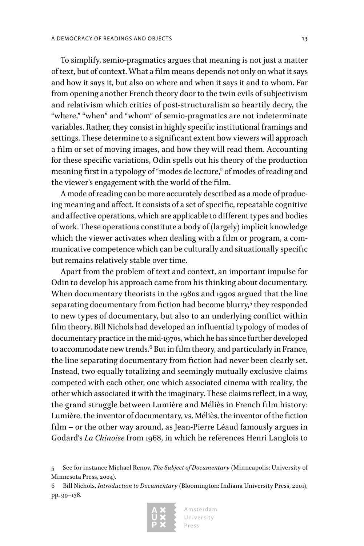To simplify, semio-pragmatics argues that meaning is not just a matter of text, but of context. What a film means depends not only on what it says and how it says it, but also on where and when it says it and to whom. Far from opening another French theory door to the twin evils of subjectivism and relativism which critics of post-structuralism so heartily decry, the "where," "when" and "whom" of semio-pragmatics are not indeterminate variables. Rather, they consist in highly specific institutional framings and settings. These determine to a significant extent how viewers will approach a film or set of moving images, and how they will read them. Accounting for these specific variations, Odin spells out his theory of the production meaning first in a typology of "modes de lecture," of modes of reading and the viewer's engagement with the world of the film.

A mode of reading can be more accurately described as a mode of producing meaning and affect. It consists of a set of specific, repeatable cognitive and affective operations, which are applicable to different types and bodies of work. These operations constitute a body of (largely) implicit knowledge which the viewer activates when dealing with a film or program, a communicative competence which can be culturally and situationally specific but remains relatively stable over time.

Apart from the problem of text and context, an important impulse for Odin to develop his approach came from his thinking about documentary. When documentary theorists in the 1980s and 1990s argued that the line separating documentary from fiction had become blurry,<sup>5</sup> they responded to new types of documentary, but also to an underlying conflict within film theory. Bill Nichols had developed an influential typology of modes of documentary practice in the mid-1970s, which he has since further developed to accommodate new trends.<sup>6</sup> But in film theory, and particularly in France, the line separating documentary from fiction had never been clearly set. Instead, two equally totalizing and seemingly mutually exclusive claims competed with each other, one which associated cinema with reality, the other which associated it with the imaginary. These claims reflect, in a way, the grand struggle between Lumière and Méliès in French film history: Lumière, the inventor of documentary, vs. Méliès, the inventor of the fiction film – or the other way around, as Jean-Pierre Léaud famously argues in Godard's *La Chinoise* from 1968, in which he references Henri Langlois to

<sup>6</sup> Bill Nichols, *Introduction to Documentary* (Bloomington: Indiana University Press, 2001), pp. 99–138.



<sup>5</sup> See for instance Michael Renov, *The Subject of Documentary* (Minneapolis: University of Minnesota Press, 2004).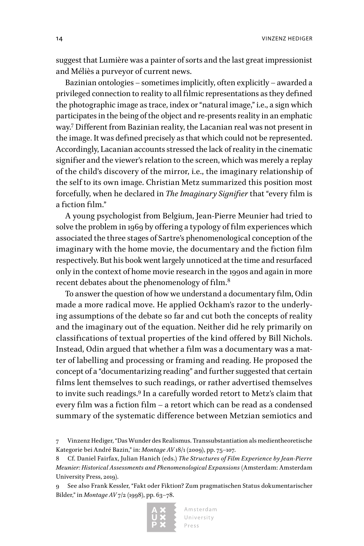14 VINZENZ HEDIGER

suggest that Lumière was a painter of sorts and the last great impressionist and Méliès a purveyor of current news.

Bazinian ontologies – sometimes implicitly, often explicitly – awarded a privileged connection to reality to all filmic representations as they defined the photographic image as trace, index or "natural image," i.e., a sign which participates in the being of the object and re-presents reality in an emphatic way.7 Different from Bazinian reality, the Lacanian real was not present in the image. It was defined precisely as that which could not be represented. Accordingly, Lacanian accounts stressed the lack of reality in the cinematic signifier and the viewer's relation to the screen, which was merely a replay of the child's discovery of the mirror, i.e., the imaginary relationship of the self to its own image. Christian Metz summarized this position most forcefully, when he declared in *The Imaginary Signifier* that "every film is a fiction film."

A young psychologist from Belgium, Jean-Pierre Meunier had tried to solve the problem in 1969 by offering a typology of film experiences which associated the three stages of Sartre's phenomenological conception of the imaginary with the home movie, the documentary and the fiction film respectively. But his book went largely unnoticed at the time and resurfaced only in the context of home movie research in the 1990s and again in more recent debates about the phenomenology of film.<sup>8</sup>

To answer the question of how we understand a documentary film, Odin made a more radical move. He applied Ockham's razor to the underlying assumptions of the debate so far and cut both the concepts of reality and the imaginary out of the equation. Neither did he rely primarily on classifications of textual properties of the kind offered by Bill Nichols. Instead, Odin argued that whether a film was a documentary was a matter of labelling and processing or framing and reading. He proposed the concept of a "documentarizing reading" and further suggested that certain films lent themselves to such readings, or rather advertised themselves to invite such readings.9 In a carefully worded retort to Metz's claim that every film was a fiction film – a retort which can be read as a condensed summary of the systematic difference between Metzian semiotics and

<sup>9</sup> See also Frank Kessler, "Fakt oder Fiktion? Zum pragmatischen Status dokumentarischer Bilder," in *Montage AV* 7/2 (1998), pp. 63–78.



<sup>7</sup> Vinzenz Hediger, "Das Wunder des Realismus. Transsubstantiation als medientheoretische Kategorie bei André Bazin," in: *Montage AV* 18/1 (2009), pp. 75–107.

<sup>8</sup> Cf. Daniel Fairfax, Julian Hanich (eds.) *The Structures of Film Experience by Jean-Pierre Meunier: Historical Assessments and Phenomenological Expansions* (Amsterdam: Amsterdam University Press, 2019).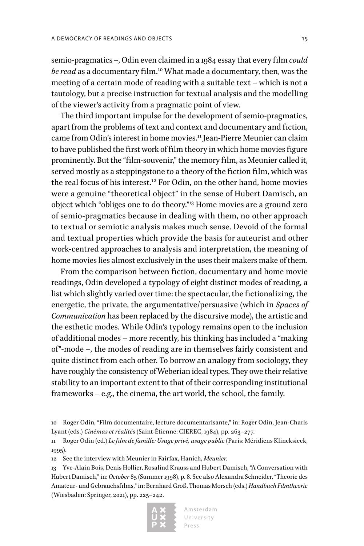semio-pragmatics –, Odin even claimed in a 1984 essay that every film *could be read* as a documentary film.<sup>10</sup> What made a documentary, then, was the meeting of a certain mode of reading with a suitable text – which is not a tautology, but a precise instruction for textual analysis and the modelling of the viewer's activity from a pragmatic point of view.

The third important impulse for the development of semio-pragmatics, apart from the problems of text and context and documentary and fiction, came from Odin's interest in home movies.<sup>11</sup> Jean-Pierre Meunier can claim to have published the first work of film theory in which home movies figure prominently. But the "film-souvenir," the memory film, as Meunier called it, served mostly as a steppingstone to a theory of the fiction film, which was the real focus of his interest.<sup>12</sup> For Odin, on the other hand, home movies were a genuine "theoretical object" in the sense of Hubert Damisch, an object which "obliges one to do theory."13 Home movies are a ground zero of semio-pragmatics because in dealing with them, no other approach to textual or semiotic analysis makes much sense. Devoid of the formal and textual properties which provide the basis for auteurist and other work-centred approaches to analysis and interpretation, the meaning of home movies lies almost exclusively in the uses their makers make of them.

From the comparison between fiction, documentary and home movie readings, Odin developed a typology of eight distinct modes of reading, a list which slightly varied over time: the spectacular, the fictionalizing, the energetic, the private, the argumentative/persuasive (which in *Spaces of Communication* has been replaced by the discursive mode), the artistic and the esthetic modes. While Odin's typology remains open to the inclusion of additional modes – more recently, his thinking has included a "making of"-mode –, the modes of reading are in themselves fairly consistent and quite distinct from each other. To borrow an analogy from sociology, they have roughly the consistency of Weberian ideal types. They owe their relative stability to an important extent to that of their corresponding institutional frameworks – e.g., the cinema, the art world, the school, the family.

<sup>13</sup> Yve-Alain Bois, Denis Hollier, Rosalind Krauss and Hubert Damisch, "A Conversation with Hubert Damisch," in: *October* 85 (Summer 1998), p. 8. See also Alexandra Schneider, "Theorie des Amateur- und Gebrauchsfilms," in: Bernhard Groß, Thomas Morsch (eds.) *Handbuch Filmtheorie* (Wiesbaden: Springer, 2021), pp. 225–242.



<sup>10</sup> Roger Odin, "Film documentaire, lecture documentarisante," in: Roger Odin, Jean-Charls Lyant (eds.) *Cinémas et réalités* (Saint-Étienne: CIEREC, 1984), pp. 263–277.

<sup>11</sup> Roger Odin (ed.) *Le film de famille: Usage privé, usage public* (Paris: Méridiens Klincksieck, 1995).

<sup>12</sup> See the interview with Meunier in Fairfax, Hanich, *Meunier.*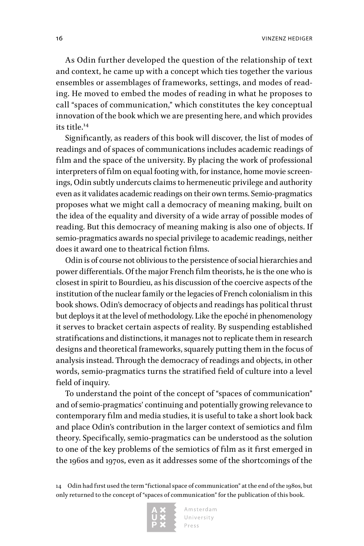As Odin further developed the question of the relationship of text and context, he came up with a concept which ties together the various ensembles or assemblages of frameworks, settings, and modes of reading. He moved to embed the modes of reading in what he proposes to call "spaces of communication," which constitutes the key conceptual innovation of the book which we are presenting here, and which provides its title.<sup>14</sup>

Significantly, as readers of this book will discover, the list of modes of readings and of spaces of communications includes academic readings of film and the space of the university. By placing the work of professional interpreters of film on equal footing with, for instance, home movie screenings, Odin subtly undercuts claims to hermeneutic privilege and authority even as it validates academic readings on their own terms. Semio-pragmatics proposes what we might call a democracy of meaning making, built on the idea of the equality and diversity of a wide array of possible modes of reading. But this democracy of meaning making is also one of objects. If semio-pragmatics awards no special privilege to academic readings, neither does it award one to theatrical fiction films.

Odin is of course not oblivious to the persistence of social hierarchies and power differentials. Of the major French film theorists, he is the one who is closest in spirit to Bourdieu, as his discussion of the coercive aspects of the institution of the nuclear family or the legacies of French colonialism in this book shows. Odin's democracy of objects and readings has political thrust but deploys it at the level of methodology. Like the epoché in phenomenology it serves to bracket certain aspects of reality. By suspending established stratifications and distinctions, it manages not to replicate them in research designs and theoretical frameworks, squarely putting them in the focus of analysis instead. Through the democracy of readings and objects, in other words, semio-pragmatics turns the stratified field of culture into a level field of inquiry.

To understand the point of the concept of "spaces of communication" and of semio-pragmatics' continuing and potentially growing relevance to contemporary film and media studies, it is useful to take a short look back and place Odin's contribution in the larger context of semiotics and film theory. Specifically, semio-pragmatics can be understood as the solution to one of the key problems of the semiotics of film as it first emerged in the 1960s and 1970s, even as it addresses some of the shortcomings of the

14 Odin had first used the term "fictional space of communication" at the end of the 1980s, but only returned to the concept of "spaces of communication" for the publication of this book.

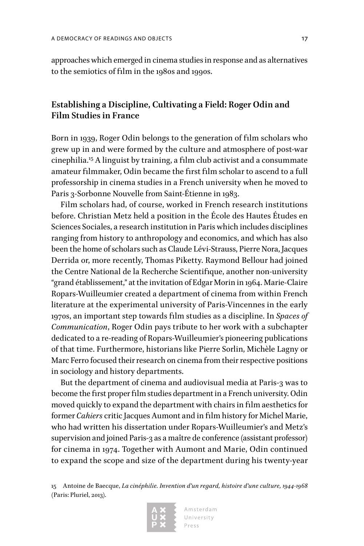<span id="page-17-0"></span>approaches which emerged in cinema studies in response and as alternatives to the semiotics of film in the 1980s and 1990s.

### **Establishing a Discipline, Cultivating a Field: Roger Odin and Film Studies in France**

Born in 1939, Roger Odin belongs to the generation of film scholars who grew up in and were formed by the culture and atmosphere of post-war cinephilia.15 A linguist by training, a film club activist and a consummate amateur filmmaker, Odin became the first film scholar to ascend to a full professorship in cinema studies in a French university when he moved to Paris 3-Sorbonne Nouvelle from Saint-Étienne in 1983.

Film scholars had, of course, worked in French research institutions before. Christian Metz held a position in the École des Hautes Études en Sciences Sociales, a research institution in Paris which includes disciplines ranging from history to anthropology and economics, and which has also been the home of scholars such as Claude Lévi-Strauss, Pierre Nora, Jacques Derrida or, more recently, Thomas Piketty. Raymond Bellour had joined the Centre National de la Recherche Scientifique, another non-university "grand établissement," at the invitation of Edgar Morin in 1964. Marie-Claire Ropars-Wuilleumier created a department of cinema from within French literature at the experimental university of Paris-Vincennes in the early 1970s, an important step towards film studies as a discipline. In *Spaces of Communication*, Roger Odin pays tribute to her work with a subchapter dedicated to a re-reading of Ropars-Wuilleumier's pioneering publications of that time. Furthermore, historians like Pierre Sorlin, Michèle Lagny or Marc Ferro focused their research on cinema from their respective positions in sociology and history departments.

But the department of cinema and audiovisual media at Paris-3 was to become the first proper film studies department in a French university. Odin moved quickly to expand the department with chairs in film aesthetics for former *Cahiers* critic Jacques Aumont and in film history for Michel Marie, who had written his dissertation under Ropars-Wuilleumier's and Metz's supervision and joined Paris-3 as a maître de conference (assistant professor) for cinema in 1974. Together with Aumont and Marie, Odin continued to expand the scope and size of the department during his twenty-year

15 Antoine de Baecque, *La cinéphilie. Invention d'un regard, histoire d'une culture, 1944-1968* (Paris: Pluriel, 2013).

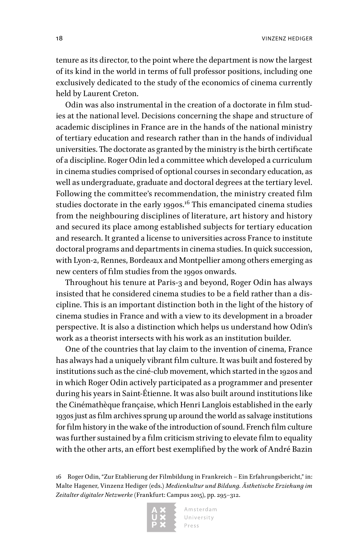18 VINZENZ HEDIGER

tenure as its director, to the point where the department is now the largest of its kind in the world in terms of full professor positions, including one exclusively dedicated to the study of the economics of cinema currently held by Laurent Creton.

Odin was also instrumental in the creation of a doctorate in film studies at the national level. Decisions concerning the shape and structure of academic disciplines in France are in the hands of the national ministry of tertiary education and research rather than in the hands of individual universities. The doctorate as granted by the ministry is the birth certificate of a discipline. Roger Odin led a committee which developed a curriculum in cinema studies comprised of optional courses in secondary education, as well as undergraduate, graduate and doctoral degrees at the tertiary level. Following the committee's recommendation, the ministry created film studies doctorate in the early 1990s.<sup>16</sup> This emancipated cinema studies from the neighbouring disciplines of literature, art history and history and secured its place among established subjects for tertiary education and research. It granted a license to universities across France to institute doctoral programs and departments in cinema studies. In quick succession, with Lyon-2, Rennes, Bordeaux and Montpellier among others emerging as new centers of film studies from the 1990s onwards.

Throughout his tenure at Paris-3 and beyond, Roger Odin has always insisted that he considered cinema studies to be a field rather than a discipline. This is an important distinction both in the light of the history of cinema studies in France and with a view to its development in a broader perspective. It is also a distinction which helps us understand how Odin's work as a theorist intersects with his work as an institution builder.

One of the countries that lay claim to the invention of cinema, France has always had a uniquely vibrant film culture. It was built and fostered by institutions such as the ciné-club movement, which started in the 1920s and in which Roger Odin actively participated as a programmer and presenter during his years in Saint-Étienne. It was also built around institutions like the Cinémathèque française, which Henri Langlois established in the early 1930s just as film archives sprung up around the world as salvage institutions for film history in the wake of the introduction of sound. French film culture was further sustained by a film criticism striving to elevate film to equality with the other arts, an effort best exemplified by the work of André Bazin

<sup>16</sup> Roger Odin, "Zur Etablierung der Filmbildung in Frankreich – Ein Erfahrungsbericht," in: Malte Hagener, Vinzenz Hediger (eds.) *Medienkultur und Bildung. Ästhetische Erziehung im Zeitalter digitaler Netzwerke* (Frankfurt: Campus 2015), pp. 295–312.

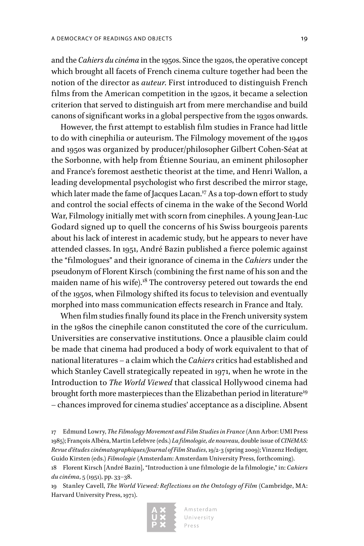and the *Cahiers du cinéma* in the 1950s. Since the 1920s, the operative concept which brought all facets of French cinema culture together had been the notion of the director as *auteur*. First introduced to distinguish French films from the American competition in the 1920s, it became a selection criterion that served to distinguish art from mere merchandise and build canons of significant works in a global perspective from the 1930s onwards.

However, the first attempt to establish film studies in France had little to do with cinephilia or auteurism. The Filmology movement of the 1940s and 1950s was organized by producer/philosopher Gilbert Cohen-Séat at the Sorbonne, with help from Étienne Souriau, an eminent philosopher and France's foremost aesthetic theorist at the time, and Henri Wallon, a leading developmental psychologist who first described the mirror stage, which later made the fame of Jacques Lacan.<sup>17</sup> As a top-down effort to study and control the social effects of cinema in the wake of the Second World War, Filmology initially met with scorn from cinephiles. A young Jean-Luc Godard signed up to quell the concerns of his Swiss bourgeois parents about his lack of interest in academic study, but he appears to never have attended classes. In 1951, André Bazin published a fierce polemic against the "filmologues" and their ignorance of cinema in the *Cahiers* under the pseudonym of Florent Kirsch (combining the first name of his son and the maiden name of his wife).18 The controversy petered out towards the end of the 1950s, when Filmology shifted its focus to television and eventually morphed into mass communication effects research in France and Italy.

When film studies finally found its place in the French university system in the 1980s the cinephile canon constituted the core of the curriculum. Universities are conservative institutions. Once a plausible claim could be made that cinema had produced a body of work equivalent to that of national literatures – a claim which the *Cahiers* critics had established and which Stanley Cavell strategically repeated in 1971, when he wrote in the Introduction to *The World Viewed* that classical Hollywood cinema had brought forth more masterpieces than the Elizabethan period in literature<sup>19</sup> – chances improved for cinema studies' acceptance as a discipline. Absent

17 Edmund Lowry, *The Filmology Movement and Film Studies in France* (Ann Arbor: UMI Press 1985); François Albéra, Martin Lefebvre (eds.) *La filmologie, de nouveau*, double issue of *CINéMAS: Revue d'études cinématographiques/Journal of Film Studies*, 19/2-3 (spring 2009); Vinzenz Hediger, Guido Kirsten (eds.) *Filmologie* (Amsterdam: Amsterdam University Press, forthcoming).

<sup>19</sup> Stanley Cavell, *The World Viewed: Reflections on the Ontology of Film* (Cambridge, MA: Harvard University Press, 1971).



<sup>18</sup> Florent Kirsch [André Bazin], "Introduction à une filmologie de la filmologie," in: *Cahiers du cinéma*, 5 (1951), pp. 33–38.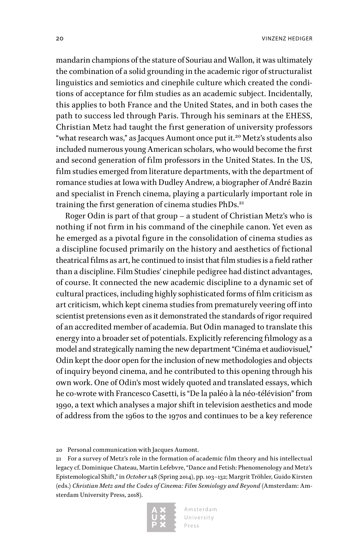20 Vinzenz Hediger

mandarin champions of the stature of Souriau and Wallon, it was ultimately the combination of a solid grounding in the academic rigor of structuralist linguistics and semiotics and cinephile culture which created the conditions of acceptance for film studies as an academic subject. Incidentally, this applies to both France and the United States, and in both cases the path to success led through Paris. Through his seminars at the EHESS, Christian Metz had taught the first generation of university professors "what research was," as Jacques Aumont once put it.<sup>20</sup> Metz's students also included numerous young American scholars, who would become the first and second generation of film professors in the United States. In the US, film studies emerged from literature departments, with the department of romance studies at Iowa with Dudley Andrew, a biographer of André Bazin and specialist in French cinema, playing a particularly important role in training the first generation of cinema studies PhDs.<sup>21</sup>

Roger Odin is part of that group – a student of Christian Metz's who is nothing if not firm in his command of the cinephile canon. Yet even as he emerged as a pivotal figure in the consolidation of cinema studies as a discipline focused primarily on the history and aesthetics of fictional theatrical films as art, he continued to insist that film studies is a field rather than a discipline. Film Studies' cinephile pedigree had distinct advantages, of course. It connected the new academic discipline to a dynamic set of cultural practices, including highly sophisticated forms of film criticism as art criticism, which kept cinema studies from prematurely veering off into scientist pretensions even as it demonstrated the standards of rigor required of an accredited member of academia. But Odin managed to translate this energy into a broader set of potentials. Explicitly referencing filmology as a model and strategically naming the new department "Cinéma et audiovisuel," Odin kept the door open for the inclusion of new methodologies and objects of inquiry beyond cinema, and he contributed to this opening through his own work. One of Odin's most widely quoted and translated essays, which he co-wrote with Francesco Casetti, is "De la paléo à la néo-télévision" from 1990, a text which analyses a major shift in television aesthetics and mode of address from the 1960s to the 1970s and continues to be a key reference

20 Personal communication with Jacques Aumont.

<sup>21</sup> For a survey of Metz's role in the formation of academic film theory and his intellectual legacy cf. Dominique Chateau, Martin Lefebvre, "Dance and Fetish: Phenomenology and Metz's Epistemological Shift," in *October* 148 (Spring 2014), pp. 103–132; Margrit Tröhler, Guido Kirsten (eds.) Christian Metz and the Codes of Cinema: Film Semiology and Beyond (Amsterdam: Amsterdam University Press, 2018).

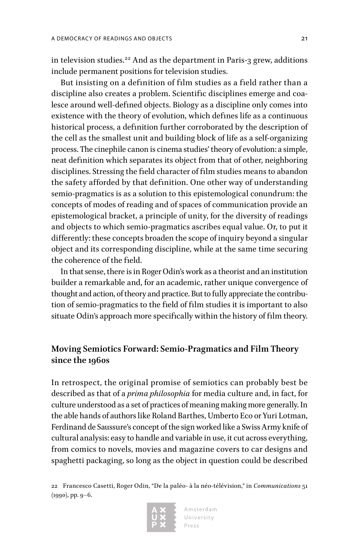<span id="page-21-0"></span>in television studies.<sup>22</sup> And as the department in Paris-3 grew, additions include permanent positions for television studies.

But insisting on a definition of film studies as a field rather than a discipline also creates a problem. Scientific disciplines emerge and coalesce around well-defined objects. Biology as a discipline only comes into existence with the theory of evolution, which defines life as a continuous historical process, a definition further corroborated by the description of the cell as the smallest unit and building block of life as a self-organizing process. The cinephile canon is cinema studies' theory of evolution: a simple, neat definition which separates its object from that of other, neighboring disciplines. Stressing the field character of film studies means to abandon the safety afforded by that definition. One other way of understanding semio-pragmatics is as a solution to this epistemological conundrum: the concepts of modes of reading and of spaces of communication provide an epistemological bracket, a principle of unity, for the diversity of readings and objects to which semio-pragmatics ascribes equal value. Or, to put it differently: these concepts broaden the scope of inquiry beyond a singular object and its corresponding discipline, while at the same time securing the coherence of the field.

In that sense, there is in Roger Odin's work as a theorist and an institution builder a remarkable and, for an academic, rather unique convergence of thought and action, of theory and practice. But to fully appreciate the contribution of semio-pragmatics to the field of film studies it is important to also situate Odin's approach more specifically within the history of film theory.

### **Moving Semiotics Forward: Semio-Pragmatics and Film Theory since the 1960s**

In retrospect, the original promise of semiotics can probably best be described as that of a *prima philosophia* for media culture and, in fact, for culture understood as a set of practices of meaning making more generally. In the able hands of authors like Roland Barthes, Umberto Eco or Yuri Lotman, Ferdinand de Saussure's concept of the sign worked like a Swiss Army knife of cultural analysis: easy to handle and variable in use, it cut across everything, from comics to novels, movies and magazine covers to car designs and spaghetti packaging, so long as the object in question could be described

22 Francesco Casetti, Roger Odin, "De la paléo- à la néo-télévision," in *Communications* 51 (1990), pp. 9–6.

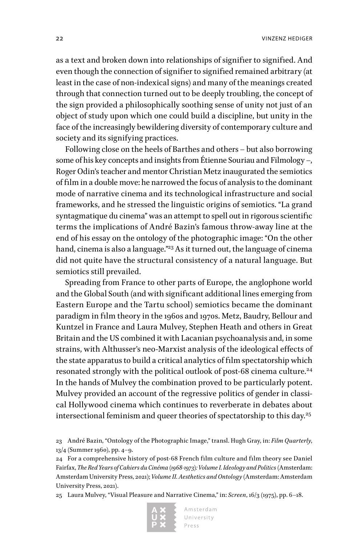as a text and broken down into relationships of signifier to signified. And even though the connection of signifier to signified remained arbitrary (at least in the case of non-indexical signs) and many of the meanings created through that connection turned out to be deeply troubling, the concept of the sign provided a philosophically soothing sense of unity not just of an object of study upon which one could build a discipline, but unity in the face of the increasingly bewildering diversity of contemporary culture and society and its signifying practices.

Following close on the heels of Barthes and others – but also borrowing some of his key concepts and insights from Étienne Souriau and Filmology –, Roger Odin's teacher and mentor Christian Metz inaugurated the semiotics of film in a double move: he narrowed the focus of analysis to the dominant mode of narrative cinema and its technological infrastructure and social frameworks, and he stressed the linguistic origins of semiotics. "La grand syntagmatique du cinema" was an attempt to spell out in rigorous scientific terms the implications of André Bazin's famous throw-away line at the end of his essay on the ontology of the photographic image: "On the other hand, cinema is also a language."<sup>23</sup> As it turned out, the language of cinema did not quite have the structural consistency of a natural language. But semiotics still prevailed.

Spreading from France to other parts of Europe, the anglophone world and the Global South (and with significant additional lines emerging from Eastern Europe and the Tartu school) semiotics became the dominant paradigm in film theory in the 1960s and 1970s. Metz, Baudry, Bellour and Kuntzel in France and Laura Mulvey, Stephen Heath and others in Great Britain and the US combined it with Lacanian psychoanalysis and, in some strains, with Althusser's neo-Marxist analysis of the ideological effects of the state apparatus to build a critical analytics of film spectatorship which resonated strongly with the political outlook of post-68 cinema culture.<sup>24</sup> In the hands of Mulvey the combination proved to be particularly potent. Mulvey provided an account of the regressive politics of gender in classical Hollywood cinema which continues to reverberate in debates about intersectional feminism and queer theories of spectatorship to this day.<sup>25</sup>

25 Laura Mulvey, "Visual Pleasure and Narrative Cinema," in: *Screen*, 16/3 (1975), pp. 6–18.



<sup>23</sup> André Bazin, "Ontology of the Photographic Image," transl. Hugh Gray, in: *Film Quarterly*, 13/4 (Summer 1960), pp. 4–9.

<sup>24</sup> For a comprehensive history of post-68 French film culture and film theory see Daniel Fairfax, *The Red Years of Cahiers du Cinéma (1968-1973): Volume I. Ideology and Politics* (Amsterdam: Amsterdam University Press, 2021); *Volume II. Aesthetics and Ontology* (Amsterdam: Amsterdam University Press, 2021).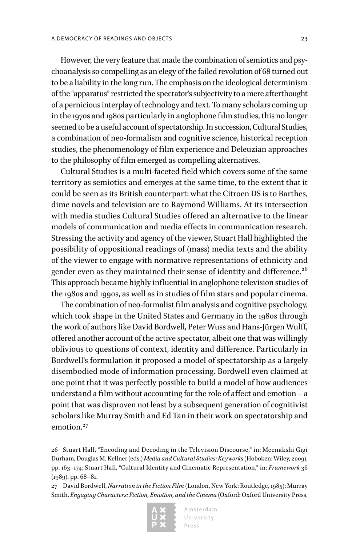However, the very feature that made the combination of semiotics and psychoanalysis so compelling as an elegy of the failed revolution of 68 turned out to be a liability in the long run. The emphasis on the ideological determinism of the "apparatus" restricted the spectator's subjectivity to a mere afterthought of a pernicious interplay of technology and text. To many scholars coming up in the 1970s and 1980s particularly in anglophone film studies, this no longer seemed to be a useful account of spectatorship. In succession, Cultural Studies, a combination of neo-formalism and cognitive science, historical reception studies, the phenomenology of film experience and Deleuzian approaches to the philosophy of film emerged as compelling alternatives.

Cultural Studies is a multi-faceted field which covers some of the same territory as semiotics and emerges at the same time, to the extent that it could be seen as its British counterpart: what the Citroen DS is to Barthes, dime novels and television are to Raymond Williams. At its intersection with media studies Cultural Studies offered an alternative to the linear models of communication and media effects in communication research. Stressing the activity and agency of the viewer, Stuart Hall highlighted the possibility of oppositional readings of (mass) media texts and the ability of the viewer to engage with normative representations of ethnicity and gender even as they maintained their sense of identity and difference.<sup>26</sup> This approach became highly influential in anglophone television studies of the 1980s and 1990s, as well as in studies of film stars and popular cinema.

The combination of neo-formalist film analysis and cognitive psychology, which took shape in the United States and Germany in the 1980s through the work of authors like David Bordwell, Peter Wuss and Hans-Jürgen Wulff, offered another account of the active spectator, albeit one that was willingly oblivious to questions of context, identity and difference. Particularly in Bordwell's formulation it proposed a model of spectatorship as a largely disembodied mode of information processing. Bordwell even claimed at one point that it was perfectly possible to build a model of how audiences understand a film without accounting for the role of affect and emotion – a point that was disproven not least by a subsequent generation of cognitivist scholars like Murray Smith and Ed Tan in their work on spectatorship and emotion.<sup>27</sup>

26 Stuart Hall, "Encoding and Decoding in the Television Discourse," in: Meenakshi Gigi Durham, Douglas M. Kellner (eds.) *Media and Cultural Studies: Keyworks* (Hoboken: Wiley, 2009), pp. 163–174; Stuart Hall, "Cultural Identity and Cinematic Representation," in: *Framework* 36 (1989), pp. 68–81.

27 David Bordwell, *Narration in the Fiction Film* (London, New York: Routledge, 1985); Murray Smith, *Engaging Characters: Fiction, Emotion, and the Cinema* (Oxford: Oxford University Press,

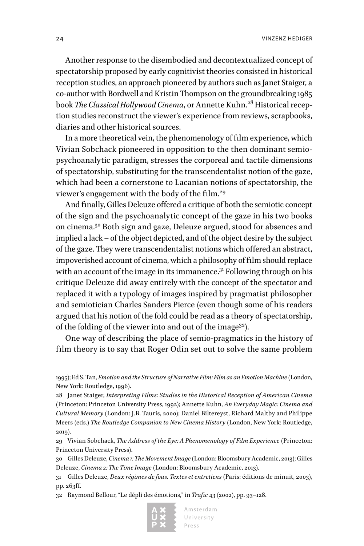24 VINZENZ HEDIGER

Another response to the disembodied and decontextualized concept of spectatorship proposed by early cognitivist theories consisted in historical reception studies, an approach pioneered by authors such as Janet Staiger, a co-author with Bordwell and Kristin Thompson on the groundbreaking 1985 book *The Classical Hollywood Cinema*, or Annette Kuhn.<sup>28</sup> Historical reception studies reconstruct the viewer's experience from reviews, scrapbooks, diaries and other historical sources.

In a more theoretical vein, the phenomenology of film experience, which Vivian Sobchack pioneered in opposition to the then dominant semiopsychoanalytic paradigm, stresses the corporeal and tactile dimensions of spectatorship, substituting for the transcendentalist notion of the gaze, which had been a cornerstone to Lacanian notions of spectatorship, the viewer's engagement with the body of the film.<sup>29</sup>

And finally, Gilles Deleuze offered a critique of both the semiotic concept of the sign and the psychoanalytic concept of the gaze in his two books on cinema.30 Both sign and gaze, Deleuze argued, stood for absences and implied a lack – of the object depicted, and of the object desire by the subject of the gaze. They were transcendentalist notions which offered an abstract, impoverished account of cinema, which a philosophy of film should replace with an account of the image in its immanence.<sup>31</sup> Following through on his critique Deleuze did away entirely with the concept of the spectator and replaced it with a typology of images inspired by pragmatist philosopher and semiotician Charles Sanders Pierce (even though some of his readers argued that his notion of the fold could be read as a theory of spectatorship, of the folding of the viewer into and out of the image<sup>32</sup>).

One way of describing the place of semio-pragmatics in the history of film theory is to say that Roger Odin set out to solve the same problem

1995); Ed S. Tan, *Emotion and the Structure of Narrative Film: Film as an Emotion Machine* (London, New York: Routledge, 1996).

28 Janet Staiger, *Interpreting Films: Studies in the Historical Reception of American Cinema*  (Princeton: Princeton University Press, 1992); Annette Kuhn, *An Everyday Magic: Cinema and Cultural Memory* (London: J.B. Tauris, 2000); Daniel Biltereyst, Richard Maltby and Philippe Meers (eds.) *The Routledge Companion to New Cinema History* (London, New York: Routledge, 2019).

29 Vivian Sobchack, *The Address of the Eye: A Phenomenology of Film Experience* (Princeton: Princeton University Press).

30 Gilles Deleuze, *Cinema 1: The Movement Image* (London: Bloomsbury Academic, 2013); Gilles Deleuze, *Cinema 2: The Time Image* (London: Bloomsbury Academic, 2013).

31 Gilles Deleuze, *Deux régimes de fous. Textes et entretiens* (Paris: éditions de minuit, 2003), pp. 263ff.

32 Raymond Bellour, "Le dépli des émotions," in *Trafic* 43 (2002), pp. 93–128.

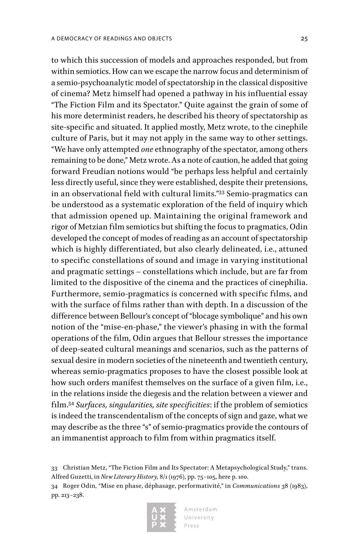to which this succession of models and approaches responded, but from within semiotics. How can we escape the narrow focus and determinism of a semio-psychoanalytic model of spectatorship in the classical dispositive of cinema? Metz himself had opened a pathway in his influential essay "The Fiction Film and its Spectator." Quite against the grain of some of his more determinist readers, he described his theory of spectatorship as site-specific and situated. It applied mostly, Metz wrote, to the cinephile culture of Paris, but it may not apply in the same way to other settings. "We have only attempted *one* ethnography of the spectator, among others remaining to be done," Metz wrote. As a note of caution, he added that going forward Freudian notions would "be perhaps less helpful and certainly less directly useful, since they were established, despite their pretensions, in an observational field with cultural limits."33 Semio-pragmatics can be understood as a systematic exploration of the field of inquiry which that admission opened up. Maintaining the original framework and rigor of Metzian film semiotics but shifting the focus to pragmatics, Odin developed the concept of modes of reading as an account of spectatorship which is highly differentiated, but also clearly delineated, i.e., attuned to specific constellations of sound and image in varying institutional and pragmatic settings – constellations which include, but are far from limited to the dispositive of the cinema and the practices of cinephilia.

Furthermore, semio-pragmatics is concerned with specific films, and with the surface of films rather than with depth. In a discussion of the difference between Bellour's concept of "blocage symbolique" and his own notion of the "mise-en-phase," the viewer's phasing in with the formal operations of the film, Odin argues that Bellour stresses the importance of deep-seated cultural meanings and scenarios, such as the patterns of sexual desire in modern societies of the nineteenth and twentieth century, whereas semio-pragmatics proposes to have the closest possible look at how such orders manifest themselves on the surface of a given film, i.e., in the relations inside the diegesis and the relation between a viewer and film.34 *Surfaces, singularities, site specificities*: if the problem of semiotics is indeed the transcendentalism of the concepts of sign and gaze, what we may describe as the three "s" of semio-pragmatics provide the contours of an immanentist approach to film from within pragmatics itself.

33 Christian Metz, "The Fiction Film and Its Spectator: A Metapsychological Study," trans. Alfred Guzetti, in *New Literary History,* 8/1 (1976), pp. 75–105, here p. 100.

34 Roger Odin, "Mise en phase, déphasage, performativité," in *Communications* 38 (1983), pp. 213–238.

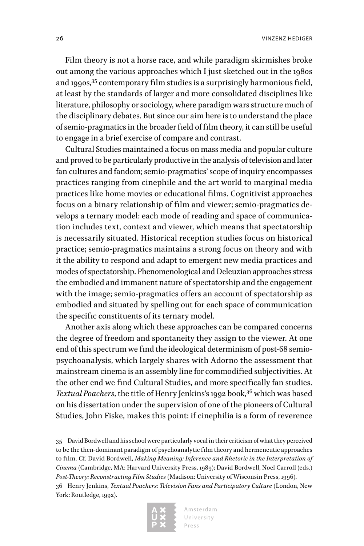26 Vinzenz Hediger

Film theory is not a horse race, and while paradigm skirmishes broke out among the various approaches which I just sketched out in the 1980s and 1990s,<sup>35</sup> contemporary film studies is a surprisingly harmonious field, at least by the standards of larger and more consolidated disciplines like literature, philosophy or sociology, where paradigm wars structure much of the disciplinary debates. But since our aim here is to understand the place of semio-pragmatics in the broader field of film theory, it can still be useful to engage in a brief exercise of compare and contrast.

Cultural Studies maintained a focus on mass media and popular culture and proved to be particularly productive in the analysis of television and later fan cultures and fandom; semio-pragmatics' scope of inquiry encompasses practices ranging from cinephile and the art world to marginal media practices like home movies or educational films. Cognitivist approaches focus on a binary relationship of film and viewer; semio-pragmatics develops a ternary model: each mode of reading and space of communication includes text, context and viewer, which means that spectatorship is necessarily situated. Historical reception studies focus on historical practice; semio-pragmatics maintains a strong focus on theory and with it the ability to respond and adapt to emergent new media practices and modes of spectatorship. Phenomenological and Deleuzian approaches stress the embodied and immanent nature of spectatorship and the engagement with the image; semio-pragmatics offers an account of spectatorship as embodied and situated by spelling out for each space of communication the specific constituents of its ternary model.

Another axis along which these approaches can be compared concerns the degree of freedom and spontaneity they assign to the viewer. At one end of this spectrum we find the ideological determinism of post-68 semiopsychoanalysis, which largely shares with Adorno the assessment that mainstream cinema is an assembly line for commodified subjectivities. At the other end we find Cultural Studies, and more specifically fan studies. *Textual Poachers*, the title of Henry Jenkins's 1992 book,<sup>36</sup> which was based on his dissertation under the supervision of one of the pioneers of Cultural Studies, John Fiske, makes this point: if cinephilia is a form of reverence

35 David Bordwell and his school were particularly vocal in their criticism of what they perceived to be the then-dominant paradigm of psychoanalytic film theory and hermeneutic approaches to film. Cf. David Bordwell, *Making Meaning: Inference and Rhetoric in the Interpretation of Cinema* (Cambridge, MA: Harvard University Press, 1989); David Bordwell, Noel Carroll (eds.) *Post-Theory: Reconstructing Film Studies* (Madison: University of Wisconsin Press, 1996). 36 Henry Jenkins, *Textual Poachers: Television Fans and Participatory Culture* (London, New York: Routledge, 1992).

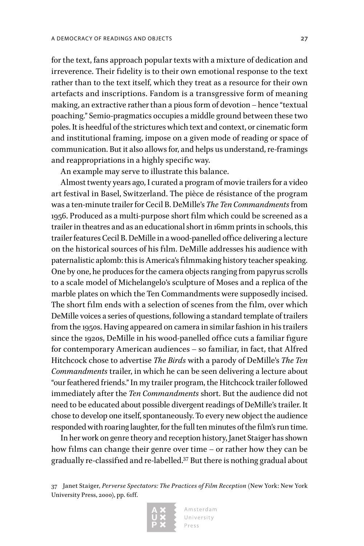for the text, fans approach popular texts with a mixture of dedication and irreverence. Their fidelity is to their own emotional response to the text rather than to the text itself, which they treat as a resource for their own artefacts and inscriptions. Fandom is a transgressive form of meaning making, an extractive rather than a pious form of devotion – hence "textual poaching." Semio-pragmatics occupies a middle ground between these two poles. It is heedful of the strictures which text and context, or cinematic form and institutional framing, impose on a given mode of reading or space of communication. But it also allows for, and helps us understand, re-framings and reappropriations in a highly specific way.

An example may serve to illustrate this balance.

Almost twenty years ago, I curated a program of movie trailers for a video art festival in Basel, Switzerland. The pièce de résistance of the program was a ten-minute trailer for Cecil B. DeMille's *The Ten Commandments* from 1956. Produced as a multi-purpose short film which could be screened as a trailer in theatres and as an educational short in 16mm prints in schools, this trailer features Cecil B. DeMille in a wood-panelled office delivering a lecture on the historical sources of his film. DeMille addresses his audience with paternalistic aplomb: this is America's filmmaking history teacher speaking. One by one, he produces for the camera objects ranging from papyrus scrolls to a scale model of Michelangelo's sculpture of Moses and a replica of the marble plates on which the Ten Commandments were supposedly incised. The short film ends with a selection of scenes from the film, over which DeMille voices a series of questions, following a standard template of trailers from the 1950s. Having appeared on camera in similar fashion in his trailers since the 1920s, DeMille in his wood-panelled office cuts a familiar figure for contemporary American audiences – so familiar, in fact, that Alfred Hitchcock chose to advertise *The Birds* with a parody of DeMille's *The Ten Commandments* trailer, in which he can be seen delivering a lecture about "our feathered friends." In my trailer program, the Hitchcock trailer followed immediately after the *Ten Commandments* short. But the audience did not need to be educated about possible divergent readings of DeMille's trailer. It chose to develop one itself, spontaneously. To every new object the audience responded with roaring laughter, for the full ten minutes of the film's run time.

In her work on genre theory and reception history, Janet Staiger has shown how films can change their genre over time – or rather how they can be gradually re-classified and re-labelled.37 But there is nothing gradual about

<sup>37</sup> Janet Staiger, *Perverse Spectators: The Practices of Film Reception* (New York: New York University Press, 2000), pp. 61ff.

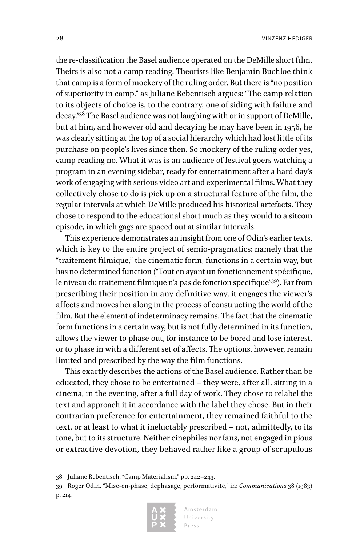28 VINZENZ HEDIGER

the re-classification the Basel audience operated on the DeMille short film. Theirs is also not a camp reading. Theorists like Benjamin Buchloe think that camp is a form of mockery of the ruling order. But there is "no position of superiority in camp," as Juliane Rebentisch argues: "The camp relation to its objects of choice is, to the contrary, one of siding with failure and decay."38 The Basel audience was not laughing with or in support of DeMille, but at him, and however old and decaying he may have been in 1956, he was clearly sitting at the top of a social hierarchy which had lost little of its purchase on people's lives since then. So mockery of the ruling order yes, camp reading no. What it was is an audience of festival goers watching a program in an evening sidebar, ready for entertainment after a hard day's work of engaging with serious video art and experimental films. What they collectively chose to do is pick up on a structural feature of the film, the regular intervals at which DeMille produced his historical artefacts. They chose to respond to the educational short much as they would to a sitcom episode, in which gags are spaced out at similar intervals.

This experience demonstrates an insight from one of Odin's earlier texts, which is key to the entire project of semio-pragmatics: namely that the "traitement filmique," the cinematic form, functions in a certain way, but has no determined function ("Tout en ayant un fonctionnement spécifique, le niveau du traitement filmique n'a pas de fonction specifique"39). Far from prescribing their position in any definitive way, it engages the viewer's affects and moves her along in the process of constructing the world of the film. But the element of indeterminacy remains. The fact that the cinematic form functions in a certain way, but is not fully determined in its function, allows the viewer to phase out, for instance to be bored and lose interest, or to phase in with a different set of affects. The options, however, remain limited and prescribed by the way the film functions.

This exactly describes the actions of the Basel audience. Rather than be educated, they chose to be entertained – they were, after all, sitting in a cinema, in the evening, after a full day of work. They chose to relabel the text and approach it in accordance with the label they chose. But in their contrarian preference for entertainment, they remained faithful to the text, or at least to what it ineluctably prescribed – not, admittedly, to its tone, but to its structure. Neither cinephiles nor fans, not engaged in pious or extractive devotion, they behaved rather like a group of scrupulous

38 Juliane Rebentisch, "Camp Materialism," pp. 242–243.

<sup>39</sup> Roger Odin, "Mise-en-phase, déphasage, performativité," in: *Communications* 38 (1983) p. 214.

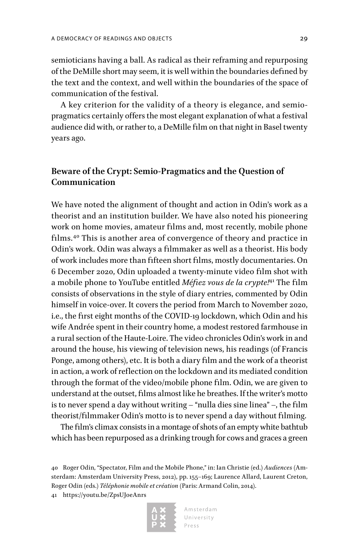<span id="page-29-0"></span>semioticians having a ball. As radical as their reframing and repurposing of the DeMille short may seem, it is well within the boundaries defined by the text and the context, and well within the boundaries of the space of communication of the festival.

A key criterion for the validity of a theory is elegance, and semiopragmatics certainly offers the most elegant explanation of what a festival audience did with, or rather to, a DeMille film on that night in Basel twenty years ago.

## **Beware of the Crypt: Semio-Pragmatics and the Question of Communication**

We have noted the alignment of thought and action in Odin's work as a theorist and an institution builder. We have also noted his pioneering work on home movies, amateur films and, most recently, mobile phone films.40 This is another area of convergence of theory and practice in Odin's work. Odin was always a filmmaker as well as a theorist. His body of work includes more than fifteen short films, mostly documentaries. On 6 December 2020, Odin uploaded a twenty-minute video film shot with a mobile phone to YouTube entitled *Méfiez vous de la crypte!*41 The film consists of observations in the style of diary entries, commented by Odin himself in voice-over. It covers the period from March to November 2020, i.e., the first eight months of the COVID-19 lockdown, which Odin and his wife Andrée spent in their country home, a modest restored farmhouse in a rural section of the Haute-Loire. The video chronicles Odin's work in and around the house, his viewing of television news, his readings (of Francis Ponge, among others), etc. It is both a diary film and the work of a theorist in action, a work of reflection on the lockdown and its mediated condition through the format of the video/mobile phone film. Odin, we are given to understand at the outset, films almost like he breathes. If the writer's motto is to never spend a day without writing – "nulla dies sine linea" –, the film theorist/filmmaker Odin's motto is to never spend a day without filming.

The film's climax consists in a montage of shots of an empty white bathtub which has been repurposed as a drinking trough for cows and graces a green

41 <https://youtu.be/ZpsUJoeAnrs>



<sup>40</sup> Roger Odin, "Spectator, Film and the Mobile Phone," in: Ian Christie (ed.) *Audiences* (Amsterdam: Amsterdam University Press, 2012), pp. 155–169; Laurence Allard, Laurent Creton, Roger Odin (eds.) *Téléphonie mobile et création* (Paris: Armand Colin, 2014).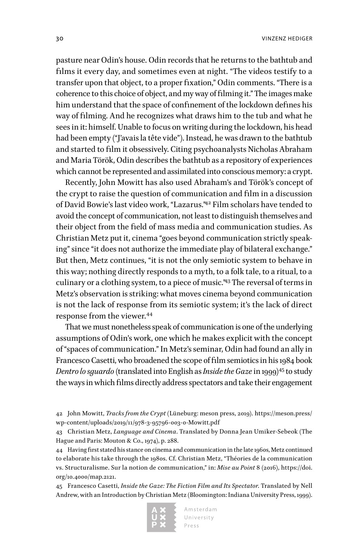pasture near Odin's house. Odin records that he returns to the bathtub and films it every day, and sometimes even at night. "The videos testify to a transfer upon that object, to a proper fixation," Odin comments. "There is a coherence to this choice of object, and my way of filming it." The images make him understand that the space of confinement of the lockdown defines his way of filming. And he recognizes what draws him to the tub and what he sees in it: himself. Unable to focus on writing during the lockdown, his head had been empty ("J'avais la tête vide"). Instead, he was drawn to the bathtub and started to film it obsessively. Citing psychoanalysts Nicholas Abraham and Maria Török, Odin describes the bathtub as a repository of experiences which cannot be represented and assimilated into conscious memory: a crypt.

Recently, John Mowitt has also used Abraham's and Török's concept of the crypt to raise the question of communication and film in a discussion of David Bowie's last video work, "Lazarus."42 Film scholars have tended to avoid the concept of communication, not least to distinguish themselves and their object from the field of mass media and communication studies. As Christian Metz put it, cinema "goes beyond communication strictly speaking" since "it does not authorize the immediate play of bilateral exchange." But then, Metz continues, "it is not the only semiotic system to behave in this way; nothing directly responds to a myth, to a folk tale, to a ritual, to a culinary or a clothing system, to a piece of music."43 The reversal of terms in Metz's observation is striking: what moves cinema beyond communication is not the lack of response from its semiotic system; it's the lack of direct response from the viewer.<sup>44</sup>

That we must nonetheless speak of communication is one of the underlying assumptions of Odin's work, one which he makes explicit with the concept of "spaces of communication." In Metz's seminar, Odin had found an ally in Francesco Casetti, who broadened the scope of film semiotics in his 1984 book *Dentro lo sguardo* (translated into English as *Inside the Gaze* in 1999)45 to study the ways in which films directly address spectators and take their engagement

<sup>45</sup> Francesco Casetti, *Inside the Gaze: The Fiction Film and Its Spectator*. Translated by Nell Andrew, with an Introduction by Christian Metz (Bloomington: Indiana University Press, 1999).



<sup>42</sup> John Mowitt, *Tracks from the Crypt* (Lüneburg: meson press, 2019). [https://meson.press/](https://meson.press/wp-content/uploads/2019/11/978-3-95796-003-0-Mowitt.pdf) [wp-content/uploads/2019/11/978-3-95796-003-0-Mowitt.pdf](https://meson.press/wp-content/uploads/2019/11/978-3-95796-003-0-Mowitt.pdf)

<sup>43</sup> Christian Metz, *Language and Cinema*. Translated by Donna Jean Umiker-Sebeok (The Hague and Paris: Mouton & Co., 1974), p. 288.

<sup>44</sup> Having first stated his stance on cinema and communication in the late 1960s, Metz continued to elaborate his take through the 1980s. Cf. Christian Metz, "Théories de la communication vs. Structuralisme. Sur la notion de communication," in: *Mise au Point* 8 (2016), [https://doi.](https://doi.org/10.4000/map.2121) [org/10.4000/map.2121](https://doi.org/10.4000/map.2121).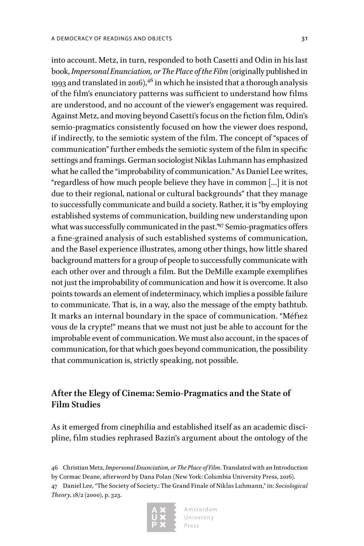<span id="page-31-0"></span>into account. Metz, in turn, responded to both Casetti and Odin in his last book, *Impersonal Enunciation, or The Place of the Film* (originally published in 1993 and translated in 2016), $4^6$  in which he insisted that a thorough analysis of the film's enunciatory patterns was sufficient to understand how films are understood, and no account of the viewer's engagement was required. Against Metz, and moving beyond Casetti's focus on the fiction film, Odin's semio-pragmatics consistently focused on how the viewer does respond, if indirectly, to the semiotic system of the film. The concept of "spaces of communication" further embeds the semiotic system of the film in specific settings and framings. German sociologist Niklas Luhmann has emphasized what he called the "improbability of communication." As Daniel Lee writes, "regardless of how much people believe they have in common […] it is not due to their regional, national or cultural backgrounds" that they manage to successfully communicate and build a society. Rather, it is "by employing established systems of communication, building new understanding upon what was successfully communicated in the past."47 Semio-pragmatics offers a fine-grained analysis of such established systems of communication, and the Basel experience illustrates, among other things, how little shared background matters for a group of people to successfully communicate with each other over and through a film. But the DeMille example exemplifies not just the improbability of communication and how it is overcome. It also points towards an element of indeterminacy, which implies a possible failure to communicate. That is, in a way, also the message of the empty bathtub. It marks an internal boundary in the space of communication. "Méfiez vous de la crypte!" means that we must not just be able to account for the improbable event of communication. We must also account, in the spaces of communication, for that which goes beyond communication, the possibility that communication is, strictly speaking, not possible.

### **After the Elegy of Cinema: Semio-Pragmatics and the State of Film Studies**

As it emerged from cinephilia and established itself as an academic discipline, film studies rephrased Bazin's argument about the ontology of the

46 Christian Metz, *Impersonal Enunciation, or The Place of Film*. Translated with an Introduction by Cormac Deane, afterword by Dana Polan (New York: Columbia University Press, 2016). 47 Daniel Lee, "The Society of Society.: The Grand Finale of Niklas Luhmann," in: *Sociological Theory*, 18/2 (2000), p. 323.

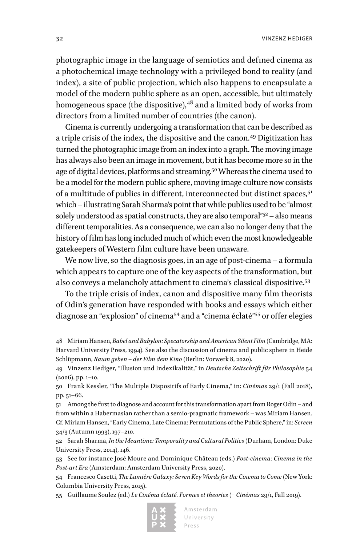32 Vinzenz Hediger

photographic image in the language of semiotics and defined cinema as a photochemical image technology with a privileged bond to reality (and index), a site of public projection, which also happens to encapsulate a model of the modern public sphere as an open, accessible, but ultimately homogeneous space (the dispositive),<sup>48</sup> and a limited body of works from directors from a limited number of countries (the canon).

Cinema is currently undergoing a transformation that can be described as a triple crisis of the index, the dispositive and the canon.<sup>49</sup> Digitization has turned the photographic image from an index into a graph. The moving image has always also been an image in movement, but it has become more so in the age of digital devices, platforms and streaming.50 Whereas the cinema used to be a model for the modern public sphere, moving image culture now consists of a multitude of publics in different, interconnected but distinct spaces,<sup>51</sup> which – illustrating Sarah Sharma's point that while publics used to be "almost solely understood as spatial constructs, they are also temporal" $52 -$  also means different temporalities. As a consequence, we can also no longer deny that the history of film has long included much of which even the most knowledgeable gatekeepers of Western film culture have been unaware.

We now live, so the diagnosis goes, in an age of post-cinema – a formula which appears to capture one of the key aspects of the transformation, but also conveys a melancholy attachment to cinema's classical dispositive.53

To the triple crisis of index, canon and dispositive many film theorists of Odin's generation have responded with books and essays which either diagnose an "explosion" of cinema<sup>54</sup> and a "cinema éclaté"<sup>55</sup> or offer elegies

49 Vinzenz Hediger, "Illusion und Indexikalität," in *Deutsche Zeitschrift für Philosophie* 54 (2006), pp. 1–10.

50 Frank Kessler, "The Multiple Dispositifs of Early Cinema," in: *Cinémas* 29/1 (Fall 2018), pp. 51–66.

51 Among the first to diagnose and account for this transformation apart from Roger Odin – and from within a Habermasian rather than a semio-pragmatic framework – was Miriam Hansen. Cf. Miriam Hansen, "Early Cinema, Late Cinema: Permutations of the Public Sphere," in: *Screen*  34/3 (Autumn 1993), 197–210.

52 Sarah Sharma, *In the Meantime: Temporality and Cultural Politics* (Durham, London: Duke University Press, 2014), 146.

53 See for instance José Moure and Dominique Château (eds.) *Post-cinema: Cinema in the Post-art Era* (Amsterdam: Amsterdam University Press, 2020).

54 Francesco Casetti, *The Lumière Galaxy: Seven Key Words for the Cinema to Come* (New York: Columbia University Press, 2015).

55 Guillaume Soulez (ed.) *Le Cinéma éclaté. Formes et theories* (= *Cinémas* 29/1, Fall 2019).



<sup>48</sup> Miriam Hansen, *Babel and Babylon: Specatorship and American Silent Film* (Cambridge, MA: Harvard University Press, 1994)*.* See also the discussion of cinema and public sphere in Heide Schlüpmann, *Raum geben – der Film dem Kino* (Berlin: Vorwerk 8, 2020).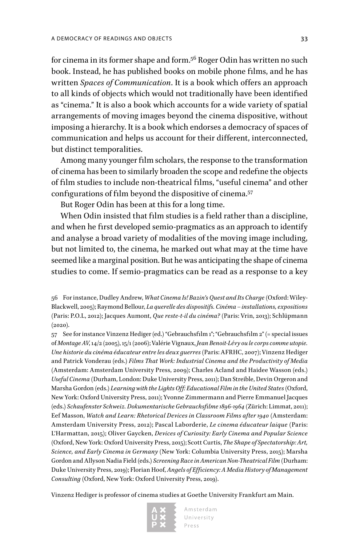for cinema in its former shape and form.56 Roger Odin has written no such book. Instead, he has published books on mobile phone films, and he has written *Spaces of Communication*. It is a book which offers an approach to all kinds of objects which would not traditionally have been identified as "cinema." It is also a book which accounts for a wide variety of spatial arrangements of moving images beyond the cinema dispositive, without imposing a hierarchy. It is a book which endorses a democracy of spaces of communication and helps us account for their different, interconnected, but distinct temporalities.

Among many younger film scholars, the response to the transformation of cinema has been to similarly broaden the scope and redefine the objects of film studies to include non-theatrical films, "useful cinema" and other configurations of film beyond the dispositive of cinema.57

But Roger Odin has been at this for a long time.

When Odin insisted that film studies is a field rather than a discipline, and when he first developed semio-pragmatics as an approach to identify and analyse a broad variety of modalities of the moving image including, but not limited to, the cinema, he marked out what may at the time have seemed like a marginal position. But he was anticipating the shape of cinema studies to come. If semio-pragmatics can be read as a response to a key

56 For instance, Dudley Andrew, *What Cinema Is! Bazin's Quest and Its Charge* (Oxford: Wiley-Blackwell, 2005); Raymond Bellour, *La querelle des dispositifs. Cinéma – installations, expositions* (Paris: P.O.L, 2012); Jacques Aumont, *Que reste-t-il du cinéma?* (Paris: Vrin, 2013); Schlüpmann (2020).

57 See for instance Vinzenz Hediger (ed.) "Gebrauchsfilm 1"; "Gebrauchsfilm 2" (= special issues of *Montage AV*, 14/2 (2005), 15/1 (2006); Valérie Vignaux, *Jean Benoit-Lévy ou le corps comme utopie. Une historie du cinéma éducateur entre les deux guerres* (Paris: AFRHC, 2007); Vinzenz Hediger and Patrick Vonderau (eds.) *Films That Work: Industrial Cinema and the Productivity of Media* (Amsterdam: Amsterdam University Press, 2009); Charles Acland and Haidee Wasson (eds.) *Useful Cinema* (Durham, London: Duke University Press, 2011); Dan Streible, Devin Orgeron and Marsha Gordon (eds.) *Learning with the Lights Off: Educational Film in the United States* (Oxford, New York: Oxford University Press, 2011); Yvonne Zimmermann and Pierre Emmanuel Jacques (eds.) *Schaufenster Schweiz. Dokumentarische Gebrauchsfilme 1896-1964* (Zürich: Limmat, 2011); Eef Masson, *Watch and Learn: Rhetorical Devices in Classroom Films after 1940* (Amsterdam: Amsterdam University Press, 2012); Pascal Laborderie, *Le cinema éducateur laique* (Paris: L'Harmattan, 2015); Oliver Gaycken, *Devices of Curiosity: Early Cinema and Popular Science*  (Oxford, New York: Oxford University Press, 2015); Scott Curtis, *The Shape of Spectatorship: Art, Science, and Early Cinema in Germany* (New York: Columbia University Press, 2015); Marsha Gordon and Allyson Nadia Field (eds.) *Screening Race in American Non-Theatrical Film* (Durham: Duke University Press, 2019); Florian Hoof, *Angels of Efficiency: A Media History of Management Consulting* (Oxford, New York: Oxford University Press, 2019).

Vinzenz Hediger is professor of cinema studies at Goethe University Frankfurt am Main.

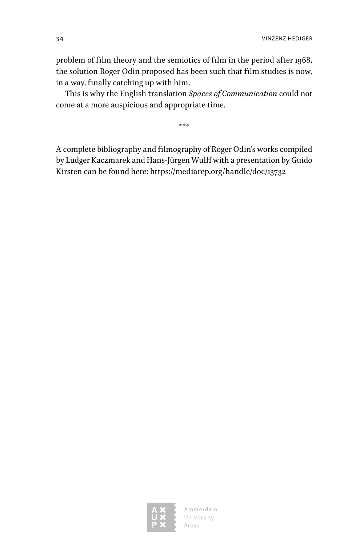34 Vinzenz Hediger

problem of film theory and the semiotics of film in the period after 1968, the solution Roger Odin proposed has been such that film studies is now, in a way, finally catching up with him.

This is why the English translation *Spaces of Communication* could not come at a more auspicious and appropriate time.

\*\*\*

A complete bibliography and filmography of Roger Odin's works compiled by Ludger Kaczmarek and Hans-Jürgen Wulff with a presentation by Guido Kirsten can be found here: <https://mediarep.org/handle/doc/13732>

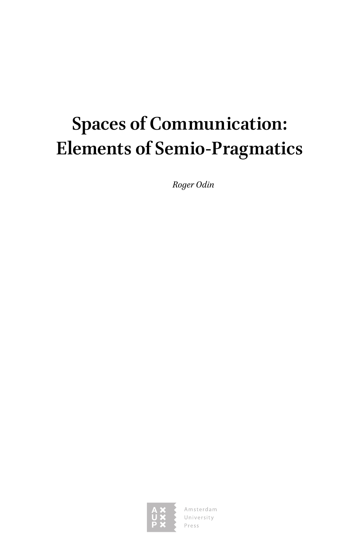# <span id="page-35-0"></span>**Spaces of Communication: Elements of Semio-Pragmatics**

*Roger Odin*



University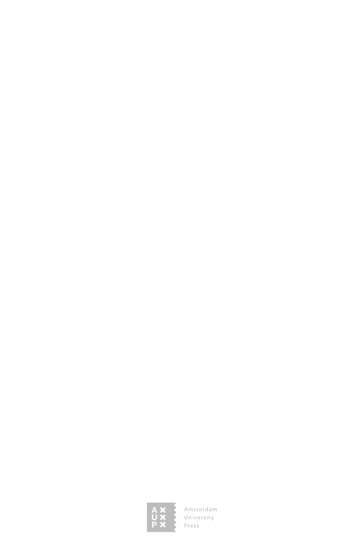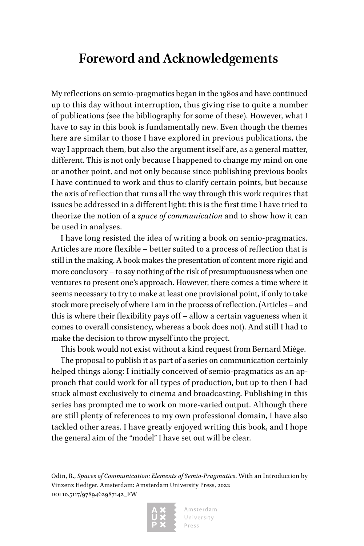## <span id="page-37-0"></span>**Foreword and Acknowledgements**

My reflections on semio-pragmatics began in the 1980s and have continued up to this day without interruption, thus giving rise to quite a number of publications (see the bibliography for some of these). However, what I have to say in this book is fundamentally new. Even though the themes here are similar to those I have explored in previous publications, the way I approach them, but also the argument itself are, as a general matter, different. This is not only because I happened to change my mind on one or another point, and not only because since publishing previous books I have continued to work and thus to clarify certain points, but because the axis of reflection that runs all the way through this work requires that issues be addressed in a different light: this is the first time I have tried to theorize the notion of a *space of communication* and to show how it can be used in analyses.

I have long resisted the idea of writing a book on semio-pragmatics. Articles are more flexible – better suited to a process of reflection that is still in the making. A book makes the presentation of content more rigid and more conclusory – to say nothing of the risk of presumptuousness when one ventures to present one's approach. However, there comes a time where it seems necessary to try to make at least one provisional point, if only to take stock more precisely of where I am in the process of reflection. (Articles – and this is where their flexibility pays off – allow a certain vagueness when it comes to overall consistency, whereas a book does not). And still I had to make the decision to throw myself into the project.

This book would not exist without a kind request from Bernard Miège.

The proposal to publish it as part of a series on communication certainly helped things along: I initially conceived of semio-pragmatics as an approach that could work for all types of production, but up to then I had stuck almost exclusively to cinema and broadcasting. Publishing in this series has prompted me to work on more-varied output. Although there are still plenty of references to my own professional domain, I have also tackled other areas. I have greatly enjoyed writing this book, and I hope the general aim of the "model" I have set out will be clear.

Odin, R., *Spaces of Communication: Elements of Semio-Pragmatics*. With an Introduction by Vinzenz Hediger. Amsterdam: Amsterdam University Press, 2022 DOI 10.5117/9789462987142\_FW

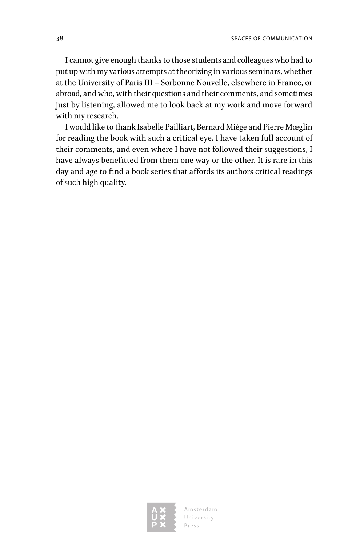I cannot give enough thanks to those students and colleagues who had to put up with my various attempts at theorizing in various seminars, whether at the University of Paris III – Sorbonne Nouvelle, elsewhere in France, or abroad, and who, with their questions and their comments, and sometimes just by listening, allowed me to look back at my work and move forward with my research.

I would like to thank Isabelle Pailliart, Bernard Miège and Pierre Mœglin for reading the book with such a critical eye. I have taken full account of their comments, and even where I have not followed their suggestions, I have always benefitted from them one way or the other. It is rare in this day and age to find a book series that affords its authors critical readings of such high quality.

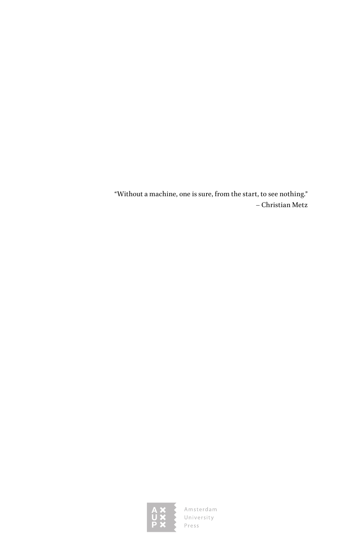"Without a machine, one is sure, from the start, to see nothing." – Christian Metz



Amsterdam<br>University<br>Press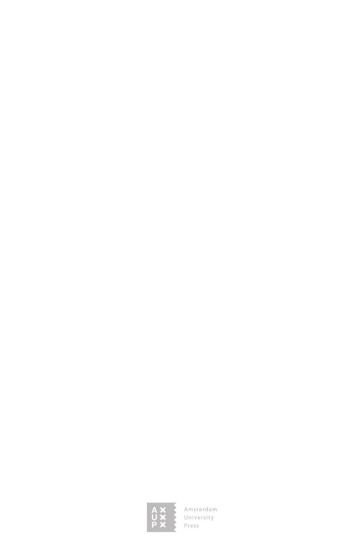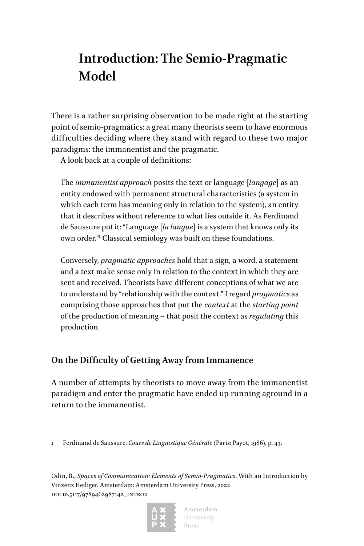# <span id="page-41-0"></span>**Introduction: The Semio-Pragmatic Model**

There is a rather surprising observation to be made right at the starting point of semio-pragmatics: a great many theorists seem to have enormous difficulties deciding where they stand with regard to these two major paradigms: the immanentist and the pragmatic.

A look back at a couple of definitions:

The *immanentist approach* posits the text or language [*langage*] as an entity endowed with permanent structural characteristics (a system in which each term has meaning only in relation to the system), an entity that it describes without reference to what lies outside it. As Ferdinand de Saussure put it: "Language [*la langue*] is a system that knows only its own order."1 Classical semiology was built on these foundations.

Conversely, *pragmatic approaches* hold that a sign, a word, a statement and a text make sense only in relation to the context in which they are sent and received. Theorists have different conceptions of what we are to understand by "relationship with the context." I regard *pragmatics* as comprising those approaches that put the *context* at the *starting point* of the production of meaning – that posit the context as *regulating* this production.

## **On the Difficulty of Getting Away from Immanence**

A number of attempts by theorists to move away from the immanentist paradigm and enter the pragmatic have ended up running aground in a return to the immanentist.

1 Ferdinand de Saussure, *Cours de Linguistique Générale* (Paris: Payot, 1986), p. 43.

Odin, R., *Spaces of Communication: Elements of Semio-Pragmatics*. With an Introduction by Vinzenz Hediger. Amsterdam: Amsterdam University Press, 2022 doi 10.5117/9789462987142\_intro2



Amsterdam University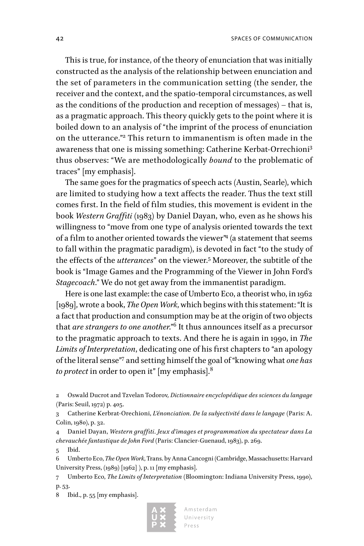This is true, for instance, of the theory of enunciation that was initially constructed as the analysis of the relationship between enunciation and the set of parameters in the communication setting (the sender, the receiver and the context, and the spatio-temporal circumstances, as well as the conditions of the production and reception of messages) – that is, as a pragmatic approach. This theory quickly gets to the point where it is boiled down to an analysis of "the imprint of the process of enunciation on the utterance."2 This return to immanentism is often made in the awareness that one is missing something: Catherine Kerbat-Orrechioni3 thus observes: "We are methodologically *bound* to the problematic of traces" [my emphasis].

The same goes for the pragmatics of speech acts (Austin, Searle), which are limited to studying how a text affects the reader. Thus the text still comes first. In the field of film studies, this movement is evident in the book *Western Graffiti* (1983) by Daniel Dayan, who, even as he shows his willingness to "move from one type of analysis oriented towards the text of a film to another oriented towards the viewer"4 (a statement that seems to fall within the pragmatic paradigm), is devoted in fact "to the study of the effects of the *utterances*" on the viewer.5 Moreover, the subtitle of the book is "Image Games and the Programming of the Viewer in John Ford's *Stagecoach*." We do not get away from the immanentist paradigm.

Here is one last example: the case of Umberto Eco, a theorist who, in 1962 [1989], wrote a book, *The Open Work*, which begins with this statement: "It is a fact that production and consumption may be at the origin of two objects that *are strangers to one another*."<sup>6</sup> It thus announces itself as a precursor to the pragmatic approach to texts. And there he is again in 1990, in *The Limits of Interpretation*, dedicating one of his first chapters to "an apology of the literal sense"7 and setting himself the goal of "knowing what *one has to protect* in order to open it" [my emphasis].<sup>8</sup>

2 Oswald Ducrot and Tzvelan Todorov*, Dictionnaire encyclopédique des sciences du langage* (Paris: Seuil, 1972) p. 405.

3 Catherine Kerbrat-Orechioni, *L'énonciation. De la subjectivité dans le langage* (Paris: A. Colin, 1980), p. 32.

4 Daniel Dayan, *Western graffiti*. *Jeux d'images et programmation du spectateur dans La chevauchée fantastique de John Ford* (Paris: Clancier-Guenaud, 1983), p. 269.

5 Ibid.

6 Umberto Eco, *The Open Work*, Trans. by Anna Cancogni (Cambridge, Massachusetts: Harvard University Press, (1989) [1962] ), p. 11 [my emphasis].

7 Umberto Eco, *The Limits of Interpretation* (Bloomington: Indiana University Press, 1990), p. 53.

8 Ibid., p. 55 [my emphasis].

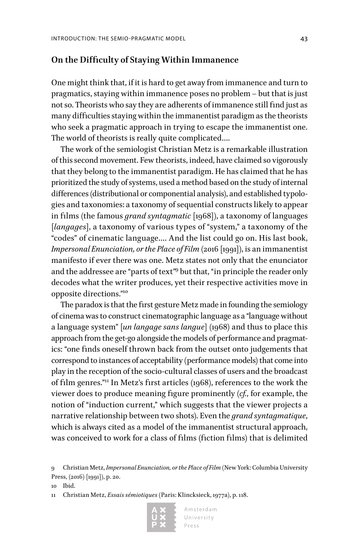#### <span id="page-43-0"></span>**On the Difficulty of Staying Within Immanence**

One might think that, if it is hard to get away from immanence and turn to pragmatics, staying within immanence poses no problem – but that is just not so. Theorists who say they are adherents of immanence still find just as many difficulties staying within the immanentist paradigm as the theorists who seek a pragmatic approach in trying to escape the immanentist one. The world of theorists is really quite complicated….

The work of the semiologist Christian Metz is a remarkable illustration of this second movement. Few theorists, indeed, have claimed so vigorously that they belong to the immanentist paradigm. He has claimed that he has prioritized the study of systems, used a method based on the study of internal differences (distributional or componential analysis), and established typologies and taxonomies: a taxonomy of sequential constructs likely to appear in films (the famous *grand syntagmatic* [1968]), a taxonomy of languages [*langages*], a taxonomy of various types of "system," a taxonomy of the "codes" of cinematic language…. And the list could go on. His last book, *Impersonal Enunciation, or the Place of Film* (2016 [1991]), is an immanentist manifesto if ever there was one. Metz states not only that the enunciator and the addressee are "parts of text"<sup>9</sup> but that, "in principle the reader only decodes what the writer produces, yet their respective activities move in opposite directions."10

The paradox is that the first gesture Metz made in founding the semiology of cinema was to construct cinematographic language as a "language without a language system" [*un langage sans langue*] (1968) and thus to place this approach from the get-go alongside the models of performance and pragmatics: "one finds oneself thrown back from the outset onto judgements that correspond to instances of acceptability (performance models) that come into play in the reception of the socio-cultural classes of users and the broadcast of film genres."11 In Metz's first articles (1968), references to the work the viewer does to produce meaning figure prominently (*cf.*, for example, the notion of "induction current," which suggests that the viewer projects a narrative relationship between two shots). Even the *grand syntagmatique*, which is always cited as a model of the immanentist structural approach, was conceived to work for a class of films (fiction films) that is delimited

<sup>11</sup> Christian Metz, *Essais sémiotiques* (Paris: Klincksieck, 1977a), p. 118.



<sup>9</sup> Christian Metz, *Impersonal Enunciation, or the Place of Film* (New York: Columbia University Press, (2016) [1991]), p. 20.

<sup>10</sup> Ibid.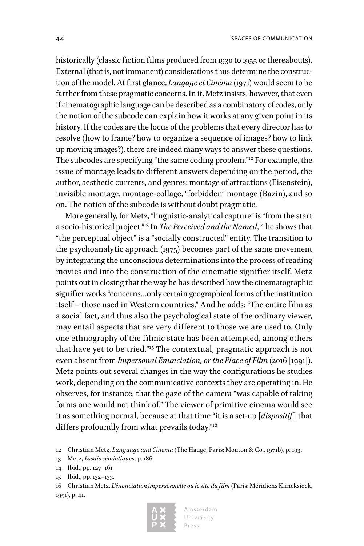historically (classic fiction films produced from 1930 to 1955 or thereabouts). External (that is, not immanent) considerations thus determine the construction of the model. At first glance, *Langage et Cinéma* (1971) would seem to be farther from these pragmatic concerns. In it, Metz insists, however, that even if cinematographic language can be described as a combinatory of codes, only the notion of the subcode can explain how it works at any given point in its history. If the codes are the locus of the problems that every director has to resolve (how to frame? how to organize a sequence of images? how to link up moving images?), there are indeed many ways to answer these questions. The subcodes are specifying "the same coding problem."12 For example, the issue of montage leads to different answers depending on the period, the author, aesthetic currents, and genres: montage of attractions (Eisenstein), invisible montage, montage-collage, "forbidden" montage (Bazin), and so on. The notion of the subcode is without doubt pragmatic.

More generally, for Metz, "linguistic-analytical capture" is "from the start a socio-historical project."13 In *The Perceived and the Named*, 14 he shows that "the perceptual object" is a "socially constructed" entity. The transition to the psychoanalytic approach (1975) becomes part of the same movement by integrating the unconscious determinations into the process of reading movies and into the construction of the cinematic signifier itself. Metz points out in closing that the way he has described how the cinematographic signifier works "concerns…only certain geographical forms of the institution itself – those used in Western countries." And he adds: "The entire film as a social fact, and thus also the psychological state of the ordinary viewer, may entail aspects that are very different to those we are used to. Only one ethnography of the filmic state has been attempted, among others that have yet to be tried."15 The contextual, pragmatic approach is not even absent from *Impersonal Enunciation, or the Place of Film (2016 [1991]*). Metz points out several changes in the way the configurations he studies work, depending on the communicative contexts they are operating in. He observes, for instance, that the gaze of the camera "was capable of taking forms one would not think of." The viewer of primitive cinema would see it as something normal, because at that time "it is a set-up [*dispositif*] that differs profoundly from what prevails today."16

<sup>16</sup> Christian Metz, *L'énonciation impersonnelle ou le site du film* (Paris: Méridiens Klincksieck, 1991), p. 41.



<sup>12</sup> Christian Metz, *Language and Cinema* (The Hauge, Paris: Mouton & Co., 1971b), p. 193.

<sup>13</sup> Metz, *Essais sémiotiques*, p. 186.

<sup>14</sup> Ibid., pp. 127–161.

<sup>15</sup> Ibid., pp. 132–133.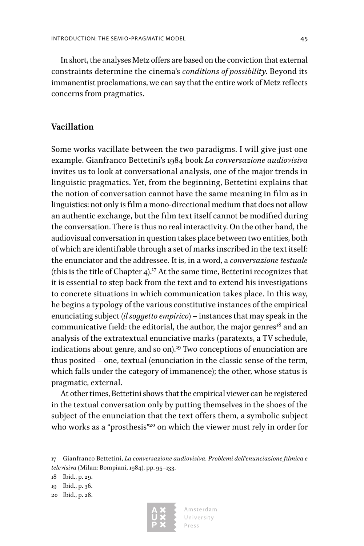<span id="page-45-0"></span>In short, the analyses Metz offers are based on the conviction that external constraints determine the cinema's *conditions of possibility*. Beyond its immanentist proclamations, we can say that the entire work of Metz reflects concerns from pragmatics.

#### **Vacillation**

Some works vacillate between the two paradigms. I will give just one example. Gianfranco Bettetini's 1984 book *La conversazione audiovisiva* invites us to look at conversational analysis, one of the major trends in linguistic pragmatics. Yet, from the beginning, Bettetini explains that the notion of conversation cannot have the same meaning in film as in linguistics: not only is film a mono-directional medium that does not allow an authentic exchange, but the film text itself cannot be modified during the conversation. There is thus no real interactivity. On the other hand, the audiovisual conversation in question takes place between two entities, both of which are identifiable through a set of marks inscribed in the text itself: the enunciator and the addressee. It is, in a word, a *conversazione testuale*  (this is the title of Chapter 4).<sup>17</sup> At the same time, Bettetini recognizes that it is essential to step back from the text and to extend his investigations to concrete situations in which communication takes place. In this way, he begins a typology of the various constitutive instances of the empirical enunciating subject (*il soggetto empirico*) – instances that may speak in the communicative field: the editorial, the author, the major genres<sup>18</sup> and an analysis of the extratextual enunciative marks (paratexts, a TV schedule, indications about genre, and so on).<sup>19</sup> Two conceptions of enunciation are thus posited – one, textual (enunciation in the classic sense of the term, which falls under the category of immanence); the other, whose status is pragmatic, external.

At other times, Bettetini shows that the empirical viewer can be registered in the textual conversation only by putting themselves in the shoes of the subject of the enunciation that the text offers them, a symbolic subject who works as a "prosthesis"<sup>20</sup> on which the viewer must rely in order for



<sup>17</sup> Gianfranco Bettetini, *La conversazione audiovisiva. Problemi dell'enunciazione filmica e televisiva* (Milan*:* Bompiani, 1984), pp. 95–133.

<sup>18</sup> Ibid., p. 29.

<sup>19</sup> Ibid., p. 36.

<sup>20</sup> Ibid., p. 28.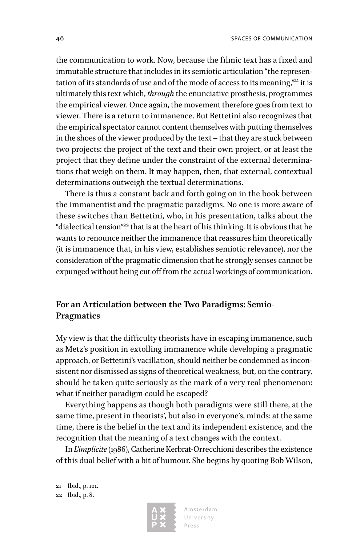<span id="page-46-0"></span>the communication to work. Now, because the filmic text has a fixed and immutable structure that includes in its semiotic articulation "the representation of its standards of use and of the mode of access to its meaning,"<sup>21</sup> it is ultimately this text which, *through* the enunciative prosthesis, programmes the empirical viewer. Once again, the movement therefore goes from text to viewer. There is a return to immanence. But Bettetini also recognizes that the empirical spectator cannot content themselves with putting themselves in the shoes of the viewer produced by the text – that they are stuck between two projects: the project of the text and their own project, or at least the project that they define under the constraint of the external determinations that weigh on them. It may happen, then, that external, contextual determinations outweigh the textual determinations.

There is thus a constant back and forth going on in the book between the immanentist and the pragmatic paradigms. No one is more aware of these switches than Bettetini, who, in his presentation, talks about the "dialectical tension"22 that is at the heart of his thinking. It is obvious that he wants to renounce neither the immanence that reassures him theoretically (it is immanence that, in his view, establishes semiotic relevance), nor the consideration of the pragmatic dimension that he strongly senses cannot be expunged without being cut off from the actual workings of communication.

#### **For an Articulation between the Two Paradigms: Semio-Pragmatics**

My view is that the difficulty theorists have in escaping immanence, such as Metz's position in extolling immanence while developing a pragmatic approach, or Bettetini's vacillation, should neither be condemned as inconsistent nor dismissed as signs of theoretical weakness, but, on the contrary, should be taken quite seriously as the mark of a very real phenomenon: what if neither paradigm could be escaped?

Everything happens as though both paradigms were still there, at the same time, present in theorists', but also in everyone's, minds: at the same time, there is the belief in the text and its independent existence, and the recognition that the meaning of a text changes with the context.

In *L'implicite* (1986), Catherine Kerbrat-Orrecchioni describes the existence of this dual belief with a bit of humour. She begins by quoting Bob Wilson,

21 Ibid., p. 101. 22 Ibid., p. 8.



Amsterdam University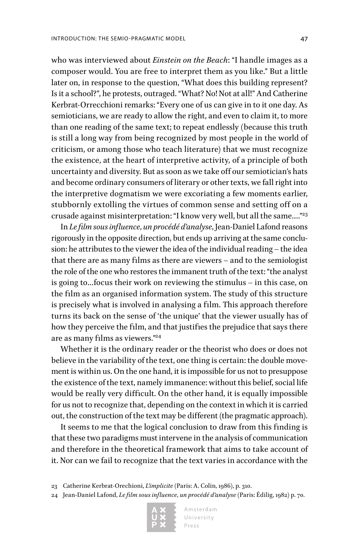who was interviewed about *Einstein on the Beach*: "I handle images as a composer would. You are free to interpret them as you like." But a little later on, in response to the question, "What does this building represent? Is it a school?", he protests, outraged. "What? No! Not at all!" And Catherine Kerbrat-Orrecchioni remarks: "Every one of us can give in to it one day. As semioticians, we are ready to allow the right, and even to claim it, to more than one reading of the same text; to repeat endlessly (because this truth is still a long way from being recognized by most people in the world of criticism, or among those who teach literature) that we must recognize the existence, at the heart of interpretive activity, of a principle of both uncertainty and diversity. But as soon as we take off our semiotician's hats and become ordinary consumers of literary or other texts, we fall right into the interpretive dogmatism we were excoriating a few moments earlier, stubbornly extolling the virtues of common sense and setting off on a crusade against misinterpretation: "I know very well, but all the same…."23

In *Le film sous influence*, *un procédé d'analyse*, Jean-Daniel Lafond reasons rigorously in the opposite direction, but ends up arriving at the same conclusion: he attributes to the viewer the idea of the individual reading – the idea that there are as many films as there are viewers – and to the semiologist the role of the one who restores the immanent truth of the text: "the analyst is going to…focus their work on reviewing the stimulus – in this case, on the film as an organised information system. The study of this structure is precisely what is involved in analysing a film. This approach therefore turns its back on the sense of 'the unique' that the viewer usually has of how they perceive the film, and that justifies the prejudice that says there are as many films as viewers."24

Whether it is the ordinary reader or the theorist who does or does not believe in the variability of the text, one thing is certain: the double movement is within us. On the one hand, it is impossible for us not to presuppose the existence of the text, namely immanence: without this belief, social life would be really very difficult. On the other hand, it is equally impossible for us not to recognize that, depending on the context in which it is carried out, the construction of the text may be different (the pragmatic approach).

It seems to me that the logical conclusion to draw from this finding is that these two paradigms must intervene in the analysis of communication and therefore in the theoretical framework that aims to take account of it. Nor can we fail to recognize that the text varies in accordance with the

23 Catherine Kerbrat-Orechioni, *L'implicite* (Paris: A. Colin, 1986), p. 310.

24 Jean-Daniel Lafond, *Le film sous influence*, *un procédé d'analyse* (Paris: Édilig, 1982) p. 70.

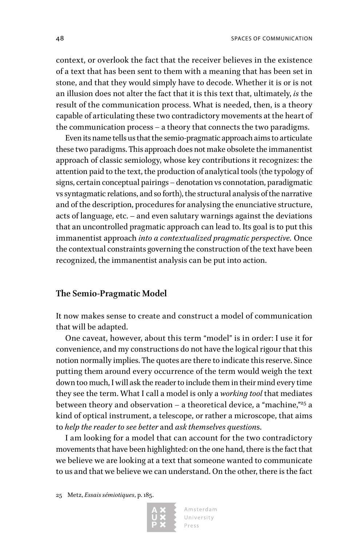<span id="page-48-0"></span>context, or overlook the fact that the receiver believes in the existence of a text that has been sent to them with a meaning that has been set in stone, and that they would simply have to decode. Whether it is or is not an illusion does not alter the fact that it is this text that, ultimately, *is* the result of the communication process. What is needed, then, is a theory capable of articulating these two contradictory movements at the heart of the communication process – a theory that connects the two paradigms.

Even its name tells us that the semio-pragmatic approach aims to articulate these two paradigms. This approach does not make obsolete the immanentist approach of classic semiology, whose key contributions it recognizes: the attention paid to the text, the production of analytical tools (the typology of signs, certain conceptual pairings – denotation vs connotation, paradigmatic vs syntagmatic relations, and so forth), the structural analysis of the narrative and of the description, procedures for analysing the enunciative structure, acts of language, etc. **–** and even salutary warnings against the deviations that an uncontrolled pragmatic approach can lead to. Its goal is to put this immanentist approach *into a contextualized pragmatic perspective.* Once the contextual constraints governing the construction of the text have been recognized, the immanentist analysis can be put into action.

#### **The Semio-Pragmatic Model**

It now makes sense to create and construct a model of communication that will be adapted.

One caveat, however, about this term "model" is in order: I use it for convenience, and my constructions do not have the logical rigour that this notion normally implies. The quotes are there to indicate this reserve. Since putting them around every occurrence of the term would weigh the text down too much, I will ask the reader to include them in their mind every time they see the term. What I call a model is only a *working tool* that mediates between theory and observation – a theoretical device, a "machine,"<sup>25</sup> a kind of optical instrument, a telescope, or rather a microscope, that aims to *help the reader to see better* and *ask themselves question*s.

I am looking for a model that can account for the two contradictory movements that have been highlighted: on the one hand, there is the fact that we believe we are looking at a text that someone wanted to communicate to us and that we believe we can understand. On the other, there is the fact

25 Metz, *Essais sémiotiques*, p. 185.

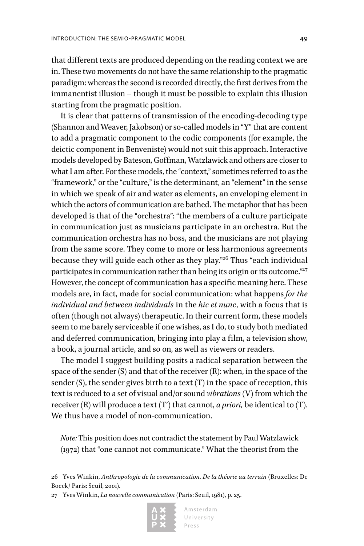that different texts are produced depending on the reading context we are in. These two movements do not have the same relationship to the pragmatic paradigm: whereas the second is recorded directly, the first derives from the immanentist illusion – though it must be possible to explain this illusion starting from the pragmatic position.

It is clear that patterns of transmission of the encoding-decoding type (Shannon and Weaver, Jakobson) or so-called models in "Y" that are content to add a pragmatic component to the codic components (for example, the deictic component in Benveniste) would not suit this approach**.** Interactive models developed by Bateson, Goffman, Watzlawick and others are closer to what I am after. For these models, the "context," sometimes referred to as the "framework," or the "culture," is the determinant, an "element" in the sense in which we speak of air and water as elements, an enveloping element in which the actors of communication are bathed. The metaphor that has been developed is that of the "orchestra": "the members of a culture participate in communication just as musicians participate in an orchestra. But the communication orchestra has no boss, and the musicians are not playing from the same score. They come to more or less harmonious agreements because they will guide each other as they play."26 Thus "each individual participates in communication rather than being its origin or its outcome."<sup>27</sup> However, the concept of communication has a specific meaning here. These models are, in fact, made for social communication: what happens *for the individual and between individuals* in the *hic et nunc*, with a focus that is often (though not always) therapeutic. In their current form, these models seem to me barely serviceable if one wishes, as I do, to study both mediated and deferred communication, bringing into play a film, a television show, a book, a journal article, and so on, as well as viewers or readers.

The model I suggest building posits a radical separation between the space of the sender (S) and that of the receiver (R): when, in the space of the sender  $(S)$ , the sender gives birth to a text  $(T)$  in the space of reception, this text is reduced to a set of visual and/or sound *vibrations* (V) from which the receiver (R) will produce a text (T') that cannot, *a priori,* be identical to (T). We thus have a model of non-communication.

*Note:* This position does not contradict the statement by Paul Watzlawick (1972) that "one cannot not communicate." What the theorist from the

26 Yves Winkin, *Anthropologie de la communication. De la théorie au terrain* (Bruxelles: De Boeck/ Paris: Seuil, 2001).

27 Yves Winkin, *La nouvelle communication* (Paris: Seuil, 1981), p. 25.

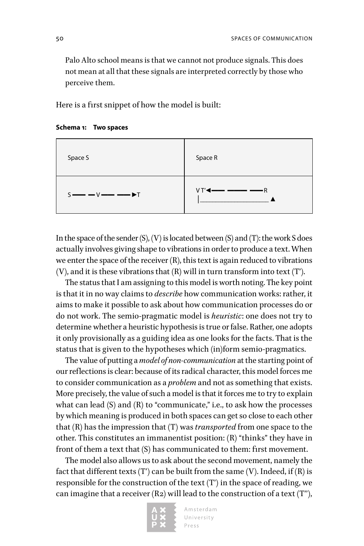Palo Alto school means is that we cannot not produce signals. This does not mean at all that these signals are interpreted correctly by those who perceive them.

Here is a first snippet of how the model is built:





In the space of the sender  $(S)$ ,  $(V)$  is located between  $(S)$  and  $(T)$ : the work S does actually involves giving shape to vibrations in order to produce a text. When we enter the space of the receiver  $(R)$ , this text is again reduced to vibrations  $(V)$ , and it is these vibrations that  $(R)$  will in turn transform into text  $(T')$ .

The status that I am assigning to this model is worth noting. The key point is that it in no way claims to *describe* how communication works: rather, it aims to make it possible to ask about how communication processes do or do not work. The semio-pragmatic model is *heuristic*: one does not try to determine whether a heuristic hypothesis is true or false. Rather, one adopts it only provisionally as a guiding idea as one looks for the facts. That is the status that is given to the hypotheses which (in)form semio-pragmatics.

The value of putting a *model of non-communication* at the starting point of our reflections is clear: because of its radical character, this model forces me to consider communication as a *problem* and not as something that exists. More precisely, the value of such a model is that it forces me to try to explain what can lead  $(S)$  and  $(R)$  to "communicate," i.e., to ask how the processes by which meaning is produced in both spaces can get so close to each other that (R) has the impression that (T) was *transported* from one space to the other. This constitutes an immanentist position: (R) "thinks" they have in front of them a text that (S) has communicated to them: first movement.

The model also allows us to ask about the second movement, namely the fact that different texts (T') can be built from the same (V). Indeed, if  $(R)$  is responsible for the construction of the text (T') in the space of reading, we can imagine that a receiver  $(R_2)$  will lead to the construction of a text  $(T'')$ ,

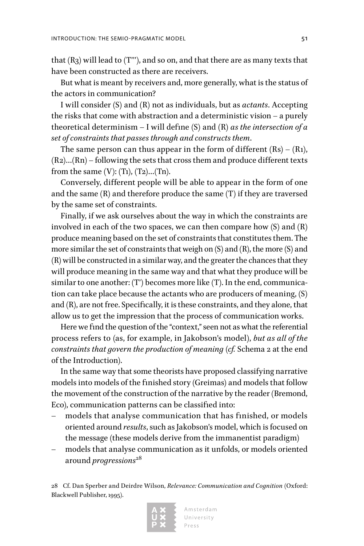that  $(R_3)$  will lead to  $(T''')$ , and so on, and that there are as many texts that have been constructed as there are receivers.

But what is meant by receivers and, more generally, what is the status of the actors in communication?

I will consider (S) and (R) not as individuals, but as *actants*. Accepting the risks that come with abstraction and a deterministic vision – a purely theoretical determinism – I will define (S) and (R) *as the intersection of a set of constraints that passes through and constructs them*.

The same person can thus appear in the form of different  $(Rs) - (R1)$ ,  $(R_2)...(R_n)$  – following the sets that cross them and produce different texts from the same  $(V)$ :  $(T_1)$ ,  $(T_2)$ ... $(T_n)$ .

Conversely, different people will be able to appear in the form of one and the same (R) and therefore produce the same (T) if they are traversed by the same set of constraints.

Finally, if we ask ourselves about the way in which the constraints are involved in each of the two spaces, we can then compare how (S) and (R) produce meaning based on the set of constraints that constitutes them. The more similar the set of constraints that weigh on (S) and (R), the more (S) and (R) will be constructed in a similar way, and the greater the chances that they will produce meaning in the same way and that what they produce will be similar to one another: (T') becomes more like (T). In the end, communication can take place because the actants who are producers of meaning, (S) and (R), are not free. Specifically, it is these constraints, and they alone, that allow us to get the impression that the process of communication works.

Here we find the question of the "context," seen not as what the referential process refers to (as, for example, in Jakobson's model), *but as all of the constraints that govern the production of meaning* (*cf.* Schema 2 at the end of the Introduction).

In the same way that some theorists have proposed classifying narrative models into models of the finished story (Greimas) and models that follow the movement of the construction of the narrative by the reader (Bremond, Eco), communication patterns can be classified into:

- models that analyse communication that has finished, or models oriented around *results*, such as Jakobson's model, which is focused on the message (these models derive from the immanentist paradigm)
- models that analyse communication as it unfolds, or models oriented around *progressions*<sup>28</sup>

28 Cf. Dan Sperber and Deirdre Wilson, *Relevance: Communication and Cognition* (Oxford: Blackwell Publisher, 1995).

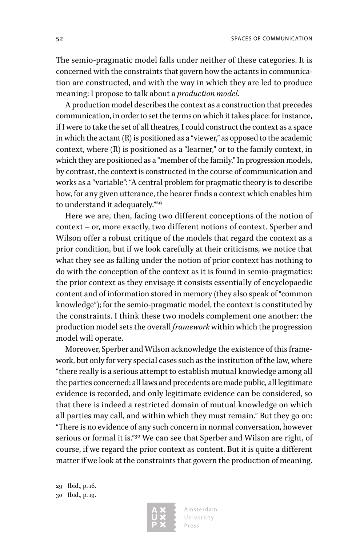The semio-pragmatic model falls under neither of these categories. It is concerned with the constraints that govern how the actants in communication are constructed, and with the way in which they are led to produce meaning: I propose to talk about a *production model*.

A production model describes the context as a construction that precedes communication, in order to set the terms on which it takes place: for instance, if I were to take the set of all theatres, I could construct the context as a space in which the actant (R) is positioned as a "viewer," as opposed to the academic context, where (R) is positioned as a "learner," or to the family context, in which they are positioned as a "member of the family." In progression models, by contrast, the context is constructed in the course of communication and works as a "variable": "A central problem for pragmatic theory is to describe how, for any given utterance, the hearer finds a context which enables him to understand it adequately."29

Here we are, then, facing two different conceptions of the notion of context – or, more exactly, two different notions of context. Sperber and Wilson offer a robust critique of the models that regard the context as a prior condition, but if we look carefully at their criticisms, we notice that what they see as falling under the notion of prior context has nothing to do with the conception of the context as it is found in semio-pragmatics: the prior context as they envisage it consists essentially of encyclopaedic content and of information stored in memory (they also speak of "common knowledge"); for the semio-pragmatic model, the context is constituted by the constraints. I think these two models complement one another: the production model sets the overall *framework* within which the progression model will operate.

Moreover, Sperber and Wilson acknowledge the existence of this framework, but only for very special cases such as the institution of the law, where "there really is a serious attempt to establish mutual knowledge among all the parties concerned: all laws and precedents are made public, all legitimate evidence is recorded, and only legitimate evidence can be considered, so that there is indeed a restricted domain of mutual knowledge on which all parties may call, and within which they must remain." But they go on: "There is no evidence of any such concern in normal conversation, however serious or formal it is."30 We can see that Sperber and Wilson are right, of course, if we regard the prior context as content. But it is quite a different matter if we look at the constraints that govern the production of meaning.

29 Ibid., p. 16. 30 Ibid., p. 19.

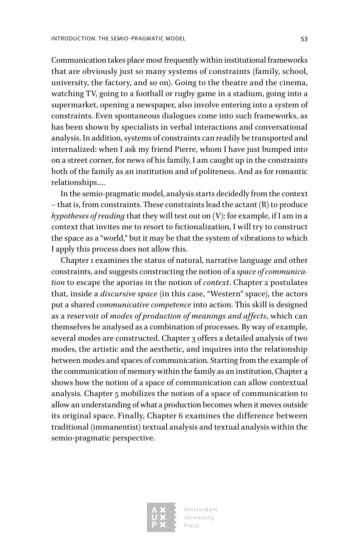Communication takes place most frequently within institutional frameworks that are obviously just so many systems of constraints (family, school, university, the factory, and so on). Going to the theatre and the cinema, watching TV, going to a football or rugby game in a stadium, going into a supermarket, opening a newspaper, also involve entering into a system of constraints. Even spontaneous dialogues come into such frameworks, as has been shown by specialists in verbal interactions and conversational analysis. In addition, systems of constraints can readily be transported and internalized: when I ask my friend Pierre, whom I have just bumped into on a street corner, for news of his family, I am caught up in the constraints both of the family as an institution and of politeness. And as for romantic relationships….

In the semio-pragmatic model, analysis starts decidedly from the context – that is, from constraints. These constraints lead the actant (R) to produce *hypotheses of reading* that they will test out on (V): for example, if I am in a context that invites me to resort to fictionalization, I will try to construct the space as a "world," but it may be that the system of vibrations to which I apply this process does not allow this.

Chapter 1 examines the status of natural, narrative language and other constraints, and suggests constructing the notion of a *space of communication* to escape the aporias in the notion of *context*. Chapter 2 postulates that, inside a *discursive space* (in this case, "Western" space), the actors put a shared *communicative competence* into action. This skill is designed as a reservoir of *modes of production of meanings and affects*, which can themselves be analysed as a combination of processes. By way of example, several modes are constructed. Chapter 3 offers a detailed analysis of two modes, the artistic and the aesthetic, and inquires into the relationship between modes and spaces of communication. Starting from the example of the communication of memory within the family as an institution, Chapter 4 shows how the notion of a space of communication can allow contextual analysis. Chapter 5 mobilizes the notion of a space of communication to allow an understanding of what a production becomes when it moves outside its original space. Finally, Chapter 6 examines the difference between traditional (immanentist) textual analysis and textual analysis within the semio-pragmatic perspective.



Amsterdam University